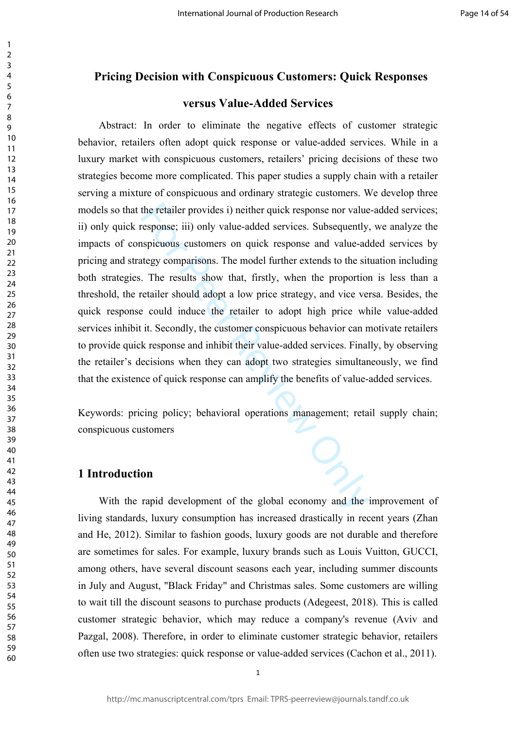# **Pricing Decision with Conspicuous Customers: Quick Responses**

# **versus Value-Added Services**

the retailer provides i) neither quick response nor value<br>
response; iii) only value-added services. Subsequently,<br>
spicuous customers on quick response and value-ad<br>
tegy comparisons. The model further extends to the sit<br> Abstract: In order to eliminate the negative effects of customer strategic behavior, retailers often adopt quick response or value-added services. While in a luxury market with conspicuous customers, retailers' pricing decisions of these two strategies become more complicated. This paper studies a supply chain with a retailer serving a mixture of conspicuous and ordinary strategic customers. We develop three models so that the retailer provides i) neither quick response nor value-added services; ii) only quick response; iii) only value-added services. Subsequently, we analyze the impacts of conspicuous customers on quick response and value-added services by pricing and strategy comparisons. The model further extends to the situation including both strategies. The results show that, firstly, when the proportion is less than a threshold, the retailer should adopt a low price strategy, and vice versa. Besides, the quick response could induce the retailer to adopt high price while value-added services inhibit it. Secondly, the customer conspicuous behavior can motivate retailers to provide quick response and inhibit their value-added services. Finally, by observing the retailer's decisions when they can adopt two strategies simultaneously, we find that the existence of quick response can amplify the benefits of value-added services.

Keywords: pricing policy; behavioral operations management; retail supply chain; conspicuous customers

# **1 Introduction**

With the rapid development of the global economy and the improvement of living standards, luxury consumption has increased drastically in recent years (Zhan and He, 2012). Similar to fashion goods, luxury goods are not durable and therefore are sometimes for sales. For example, luxury brands such as Louis Vuitton, GUCCI, among others, have several discount seasons each year, including summer discounts in July and August, "Black Friday" and Christmas sales. Some customers are willing to wait till the discount seasons to purchase products (Adegeest, 2018). This is called customer strategic behavior, which may reduce a company's revenue (Aviv and Pazgal, 2008). Therefore, in order to eliminate customer strategic behavior, retailers often use two strategies: quick response or value-added services (Cachon et al., 2011).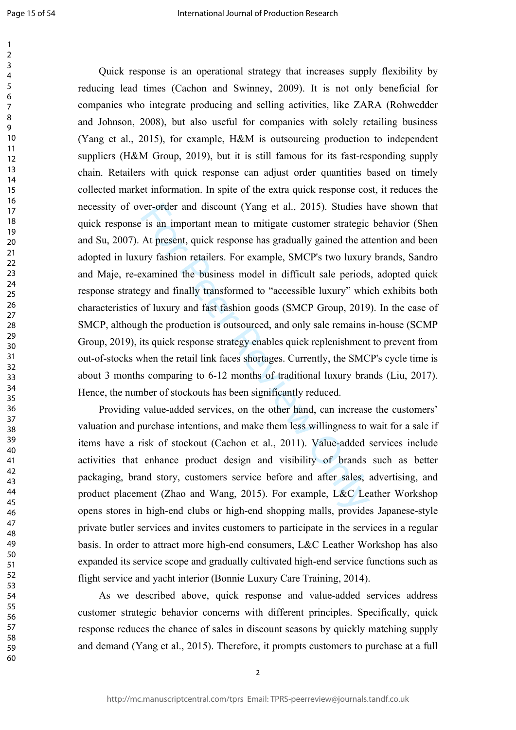$\mathbf{1}$ 

ver-order and discount (Yang et al., 2015). Studies *i* is an important mean to mitigate customer strategic At present, quick response has gradually gained the attry fashion retailers. For example, SMCP's two luxury xamine Quick response is an operational strategy that increases supply flexibility by reducing lead times (Cachon and Swinney, 2009). It is not only beneficial for companies who integrate producing and selling activities, like ZARA (Rohwedder and Johnson, 2008), but also useful for companies with solely retailing business (Yang et al., 2015), for example, H&M is outsourcing production to independent suppliers (H&M Group, 2019), but it is still famous for its fast-responding supply chain. Retailers with quick response can adjust order quantities based on timely collected market information. In spite of the extra quick response cost, it reduces the necessity of over-order and discount (Yang et al., 2015). Studies have shown that quick response is an important mean to mitigate customer strategic behavior (Shen and Su, 2007). At present, quick response has gradually gained the attention and been adopted in luxury fashion retailers. For example, SMCP's two luxury brands, Sandro and Maje, re-examined the business model in difficult sale periods, adopted quick response strategy and finally transformed to "accessible luxury" which exhibits both characteristics of luxury and fast fashion goods (SMCP Group, 2019). In the case of SMCP, although the production is outsourced, and only sale remains in-house (SCMP Group, 2019), its quick response strategy enables quick replenishment to prevent from out-of-stocks when the retail link faces shortages. Currently, the SMCP's cycle time is about 3 months comparing to 6-12 months of traditional luxury brands (Liu, 2017). Hence, the number of stockouts has been significantly reduced.

Providing value-added services, on the other hand, can increase the customers' valuation and purchase intentions, and make them less willingness to wait for a sale if items have a risk of stockout (Cachon et al., 2011). Value-added services include activities that enhance product design and visibility of brands such as better packaging, brand story, customers service before and after sales, advertising, and product placement (Zhao and Wang, 2015). For example, L&C Leather Workshop opens stores in high-end clubs or high-end shopping malls, provides Japanese-style private butler services and invites customers to participate in the services in a regular basis. In order to attract more high-end consumers, L&C Leather Workshop has also expanded its service scope and gradually cultivated high-end service functions such as flight service and yacht interior (Bonnie Luxury Care Training, 2014).

As we described above, quick response and value-added services address customer strategic behavior concerns with different principles. Specifically, quick response reduces the chance of sales in discount seasons by quickly matching supply and demand (Yang et al., 2015). Therefore, it prompts customers to purchase at a full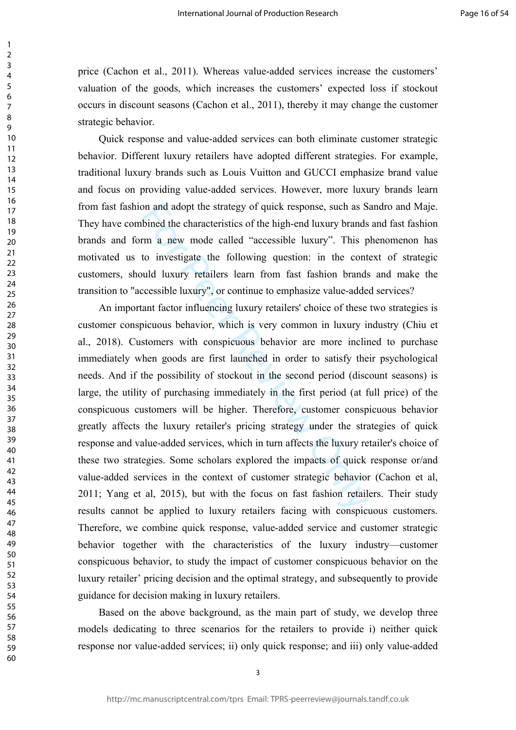price (Cachon et al., 2011). Whereas value-added services increase the customers' valuation of the goods, which increases the customers' expected loss if stockout occurs in discount seasons (Cachon et al., 2011), thereby it may change the customer strategic behavior.

123456789

 $\mathbf{1}$  $\overline{2}$  $\overline{3}$  $\overline{4}$ 5 6  $\overline{7}$ 8  $\mathsf{Q}$ 

Quick response and value-added services can both eliminate customer strategic behavior. Different luxury retailers have adopted different strategies. For example, traditional luxury brands such as Louis Vuitton and GUCCI emphasize brand value and focus on providing value-added services. However, more luxury brands learn from fast fashion and adopt the strategy of quick response, such as Sandro and Maje. They have combined the characteristics of the high-end luxury brands and fast fashion brands and form a new mode called "accessible luxury". This phenomenon has motivated us to investigate the following question: in the context of strategic customers, should luxury retailers learn from fast fashion brands and make the transition to "accessible luxury", or continue to emphasize value-added services?

on and adopt the strategy of quick response, such as S.<br>bined the characteristics of the high-end luxury brands<br>rm a new mode called "accessible luxury". This p<br>to investigate the following question: in the cont<br>and luxury An important factor influencing luxury retailers' choice of these two strategies is customer conspicuous behavior, which is very common in luxury industry (Chiu et al., 2018). Customers with conspicuous behavior are more inclined to purchase immediately when goods are first launched in order to satisfy their psychological needs. And if the possibility of stockout in the second period (discount seasons) is large, the utility of purchasing immediately in the first period (at full price) of the conspicuous customers will be higher. Therefore, customer conspicuous behavior greatly affects the luxury retailer's pricing strategy under the strategies of quick response and value-added services, which in turn affects the luxury retailer's choice of these two strategies. Some scholars explored the impacts of quick response or/and value-added services in the context of customer strategic behavior (Cachon et al, 2011; Yang et al, 2015), but with the focus on fast fashion retailers. Their study results cannot be applied to luxury retailers facing with conspicuous customers. Therefore, we combine quick response, value-added service and customer strategic behavior together with the characteristics of the luxury industry—customer conspicuous behavior, to study the impact of customer conspicuous behavior on the luxury retailer' pricing decision and the optimal strategy, and subsequently to provide guidance for decision making in luxury retailers.

Based on the above background, as the main part of study, we develop three models dedicating to three scenarios for the retailers to provide i) neither quick response nor value-added services; ii) only quick response; and iii) only value-added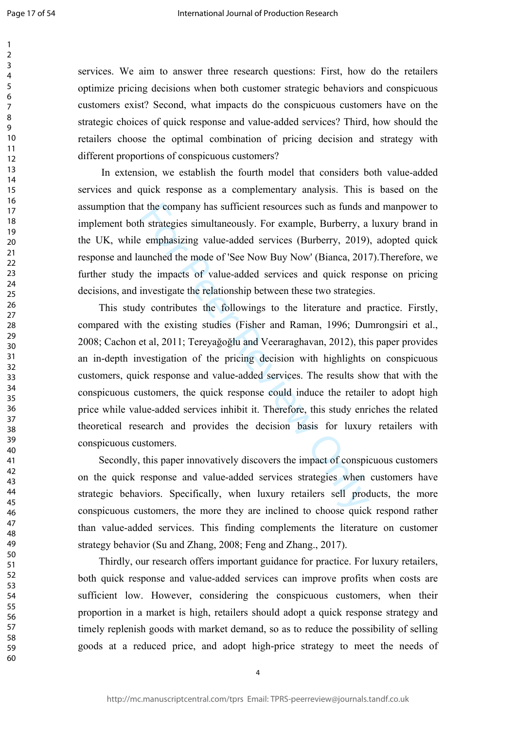$\mathbf{1}$  $\overline{2}$  $\overline{3}$  $\overline{4}$ 5 6  $\overline{7}$ 8  $\mathsf{Q}$ 

services. We aim to answer three research questions: First, how do the retailers optimize pricing decisions when both customer strategic behaviors and conspicuous customers exist? Second, what impacts do the conspicuous customers have on the strategic choices of quick response and value-added services? Third, how should the retailers choose the optimal combination of pricing decision and strategy with different proportions of conspicuous customers?

 In extension, we establish the fourth model that considers both value-added services and quick response as a complementary analysis. This is based on the assumption that the company has sufficient resources such as funds and manpower to implement both strategies simultaneously. For example, Burberry, a luxury brand in the UK, while emphasizing value-added services (Burberry, 2019), adopted quick response and launched the mode of 'See Now Buy Now' (Bianca, 2017).Therefore, we further study the impacts of value-added services and quick response on pricing decisions, and investigate the relationship between these two strategies.

the company has sufficient resources such as funds a<br>h strategies simultaneously. For example, Burberry, a<br>emphasizing value-added services (Burberry, 2019)<br>uunched the mode of 'See Now Buy Now' (Bianca, 201'<br>he impacts of This study contributes the followings to the literature and practice. Firstly, compared with the existing studies (Fisher and Raman, 1996; Dumrongsiri et al., 2008; Cachon et al, 2011; Tereyağoğlu and Veeraraghavan, 2012), this paper provides an in-depth investigation of the pricing decision with highlights on conspicuous customers, quick response and value-added services. The results show that with the conspicuous customers, the quick response could induce the retailer to adopt high price while value-added services inhibit it. Therefore, this study enriches the related theoretical research and provides the decision basis for luxury retailers with conspicuous customers.

Secondly, this paper innovatively discovers the impact of conspicuous customers on the quick response and value-added services strategies when customers have strategic behaviors. Specifically, when luxury retailers sell products, the more conspicuous customers, the more they are inclined to choose quick respond rather than value-added services. This finding complements the literature on customer strategy behavior (Su and Zhang, 2008; Feng and Zhang., 2017).

Thirdly, our research offers important guidance for practice. For luxury retailers, both quick response and value-added services can improve profits when costs are sufficient low. However, considering the conspicuous customers, when their proportion in a market is high, retailers should adopt a quick response strategy and timely replenish goods with market demand, so as to reduce the possibility of selling goods at a reduced price, and adopt high-price strategy to meet the needs of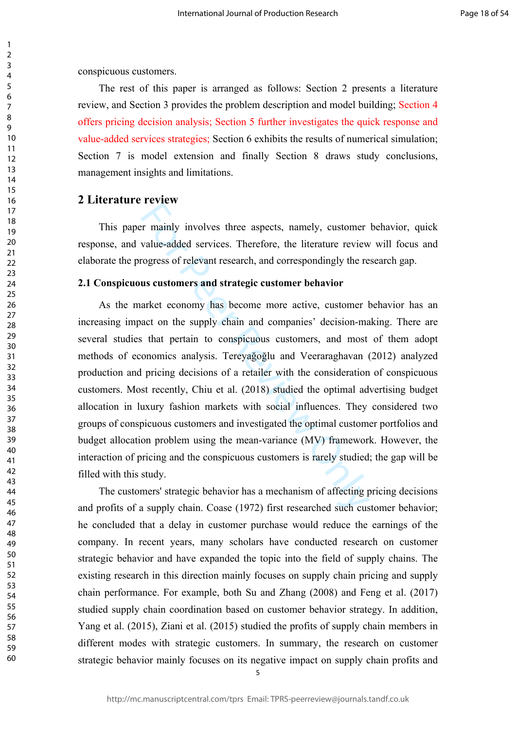conspicuous customers.

123456789

 $\mathbf{1}$  $\overline{2}$  $\overline{3}$  $\overline{4}$ 5 6  $\overline{7}$ 8  $\mathsf{Q}$ 

The rest of this paper is arranged as follows: Section 2 presents a literature review, and Section 3 provides the problem description and model building; Section 4 offers pricing decision analysis; Section 5 further investigates the quick response and value-added services strategies; Section 6 exhibits the results of numerical simulation; Section 7 is model extension and finally Section 8 draws study conclusions, management insights and limitations.

# **2 Literature review**

This paper mainly involves three aspects, namely, customer behavior, quick response, and value-added services. Therefore, the literature review will focus and elaborate the progress of relevant research, and correspondingly the research gap.

## **2.1 Conspicuous customers and strategic customer behavior**

Fortem<br>
Formular involves three aspects, namely, customer<br>
value-added services. Therefore, the literature review<br>
rogress of relevant research, and correspondingly the re<br> **us customers and strategic customer behavior**<br>
a As the market economy has become more active, customer behavior has an increasing impact on the supply chain and companies' decision-making. There are several studies that pertain to conspicuous customers, and most of them adopt methods of economics analysis. Tereyağoğlu and Veeraraghavan (2012) analyzed production and pricing decisions of a retailer with the consideration of conspicuous customers. Most recently, Chiu et al. (2018) studied the optimal advertising budget allocation in luxury fashion markets with social influences. They considered two groups of conspicuous customers and investigated the optimal customer portfolios and budget allocation problem using the mean-variance (MV) framework. However, the interaction of pricing and the conspicuous customers is rarely studied; the gap will be filled with this study.

The customers' strategic behavior has a mechanism of affecting pricing decisions and profits of a supply chain. Coase (1972) first researched such customer behavior; he concluded that a delay in customer purchase would reduce the earnings of the company. In recent years, many scholars have conducted research on customer strategic behavior and have expanded the topic into the field of supply chains. The existing research in this direction mainly focuses on supply chain pricing and supply chain performance. For example, both Su and Zhang (2008) and Feng et al. (2017) studied supply chain coordination based on customer behavior strategy. In addition, Yang et al. (2015), Ziani et al. (2015) studied the profits of supply chain members in different modes with strategic customers. In summary, the research on customer strategic behavior mainly focuses on its negative impact on supply chain profits and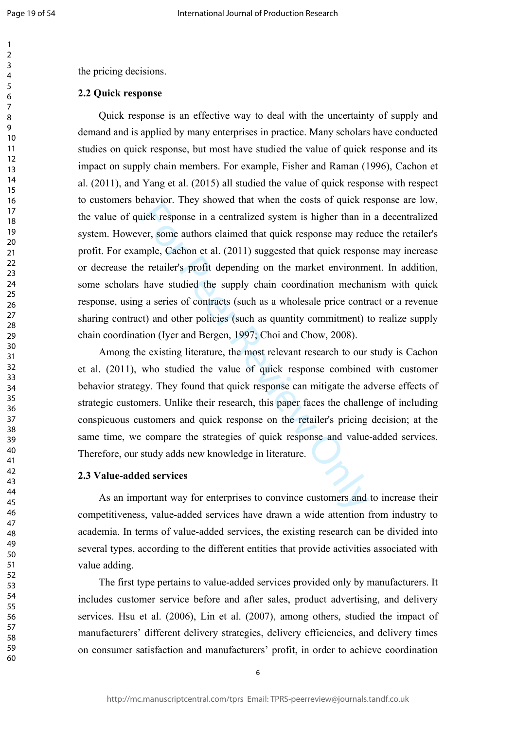$\mathbf{1}$  $\overline{2}$  $\overline{3}$  $\overline{4}$ 5 6  $\overline{7}$ 8  $\mathsf{Q}$ 

the pricing decisions.

# **2.2 Quick response**

enavor. They showed and when the esses of quiet respectively respects in a centralized system is higher than in<br>er, some authors claimed that quick response may red<br>mple, Cachon et al. (2011) suggested that quick response<br> Quick response is an effective way to deal with the uncertainty of supply and demand and is applied by many enterprises in practice. Many scholars have conducted studies on quick response, but most have studied the value of quick response and its impact on supply chain members. For example, Fisher and Raman (1996), Cachon et al. (2011), and Yang et al. (2015) all studied the value of quick response with respect to customers behavior. They showed that when the costs of quick response are low, the value of quick response in a centralized system is higher than in a decentralized system. However, some authors claimed that quick response may reduce the retailer's profit. For example, Cachon et al. (2011) suggested that quick response may increase or decrease the retailer's profit depending on the market environment. In addition, some scholars have studied the supply chain coordination mechanism with quick response, using a series of contracts (such as a wholesale price contract or a revenue sharing contract) and other policies (such as quantity commitment) to realize supply chain coordination (Iyer and Bergen, 1997; Choi and Chow, 2008).

Among the existing literature, the most relevant research to our study is Cachon et al. (2011), who studied the value of quick response combined with customer behavior strategy. They found that quick response can mitigate the adverse effects of strategic customers. Unlike their research, this paper faces the challenge of including conspicuous customers and quick response on the retailer's pricing decision; at the same time, we compare the strategies of quick response and value-added services. Therefore, our study adds new knowledge in literature.

#### **2.3 Value-added services**

As an important way for enterprises to convince customers and to increase their competitiveness, value-added services have drawn a wide attention from industry to academia. In terms of value-added services, the existing research can be divided into several types, according to the different entities that provide activities associated with value adding.

The first type pertains to value-added services provided only by manufacturers. It includes customer service before and after sales, product advertising, and delivery services. Hsu et al. (2006), Lin et al. (2007), among others, studied the impact of manufacturers' different delivery strategies, delivery efficiencies, and delivery times on consumer satisfaction and manufacturers' profit, in order to achieve coordination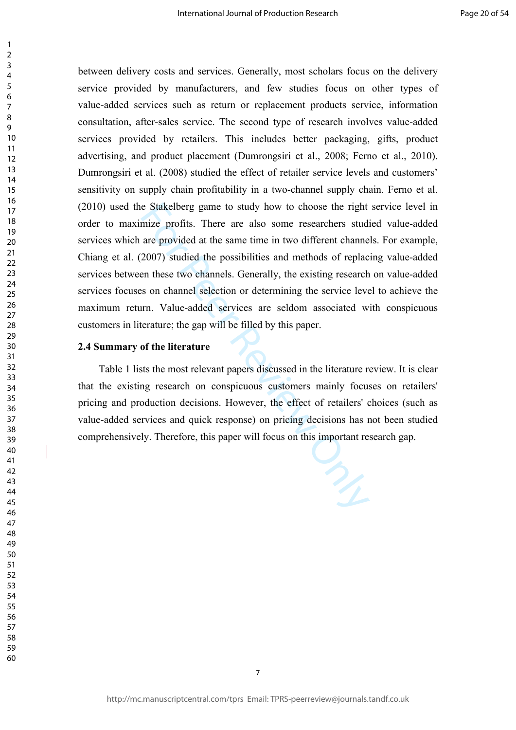e Stakelberg game to study how to choose the right<br>mize profits. There are also some researchers stud<br>are provided at the same time in two different channe<br>2007) studied the possibilities and methods of replac<br>en these two between delivery costs and services. Generally, most scholars focus on the delivery service provided by manufacturers, and few studies focus on other types of value-added services such as return or replacement products service, information consultation, after-sales service. The second type of research involves value-added services provided by retailers. This includes better packaging, gifts, product advertising, and product placement (Dumrongsiri et al., 2008; Ferno et al., 2010). Dumrongsiri et al. (2008) studied the effect of retailer service levels and customers' sensitivity on supply chain profitability in a two-channel supply chain. Ferno et al. (2010) used the Stakelberg game to study how to choose the right service level in order to maximize profits. There are also some researchers studied value-added services which are provided at the same time in two different channels. For example, Chiang et al. (2007) studied the possibilities and methods of replacing value-added services between these two channels. Generally, the existing research on value-added services focuses on channel selection or determining the service level to achieve the maximum return. Value-added services are seldom associated with conspicuous customers in literature; the gap will be filled by this paper.

### **2.4 Summary of the literature**

Table 1 lists the most relevant papers discussed in the literature review. It is clear that the existing research on conspicuous customers mainly focuses on retailers' pricing and production decisions. However, the effect of retailers' choices (such as value-added services and quick response) on pricing decisions has not been studied comprehensively. Therefore, this paper will focus on this important research gap.

 $\mathbf{1}$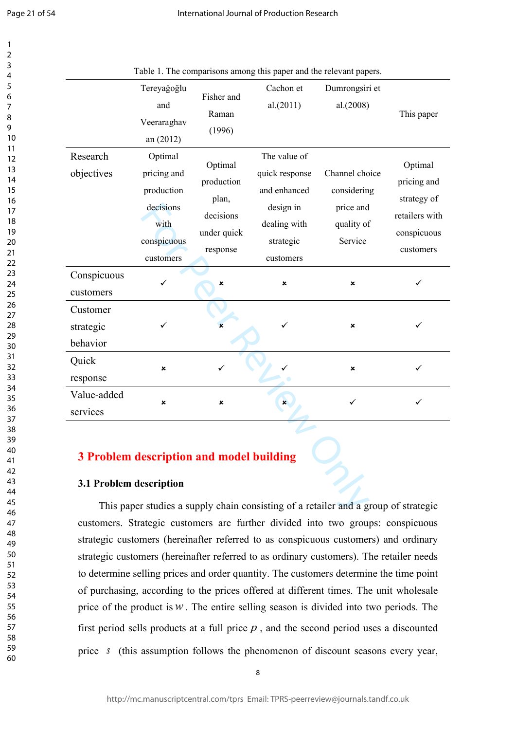$\mathbf{1}$  $\overline{2}$  $\overline{3}$  $\overline{4}$ 5 6  $\overline{7}$ 8 9

|                                   | Tereyağoğlu<br>and<br>Veeraraghav<br>an (2012)                                        | Fisher and<br>Raman<br>(1996)                                          | Cachon et<br>al.(2011)                                                                                | Dumrongsiri et<br>al.(2008)                                         | This paper                                                                          |
|-----------------------------------|---------------------------------------------------------------------------------------|------------------------------------------------------------------------|-------------------------------------------------------------------------------------------------------|---------------------------------------------------------------------|-------------------------------------------------------------------------------------|
| Research<br>objectives            | Optimal<br>pricing and<br>production<br>decisions<br>with<br>conspicuous<br>customers | Optimal<br>production<br>plan,<br>decisions<br>under quick<br>response | The value of<br>quick response<br>and enhanced<br>design in<br>dealing with<br>strategic<br>customers | Channel choice<br>considering<br>price and<br>quality of<br>Service | Optimal<br>pricing and<br>strategy of<br>retailers with<br>conspicuous<br>customers |
| Conspicuous<br>customers          | ✓                                                                                     | ×                                                                      | ×                                                                                                     | $\boldsymbol{\mathsf{x}}$                                           | ✓                                                                                   |
| Customer<br>strategic<br>behavior |                                                                                       | $\boldsymbol{\mathsf{x}}$                                              | ✓                                                                                                     | $\pmb{\times}$                                                      | ✓                                                                                   |
| Quick<br>response                 | $\boldsymbol{\mathsf{x}}$                                                             | ✓                                                                      |                                                                                                       | $\pmb{\times}$                                                      | ✓                                                                                   |
| Value-added<br>services           | $\boldsymbol{\mathsf{x}}$                                                             | ×                                                                      | $\mathbf{x}$                                                                                          | ✓                                                                   | ✓                                                                                   |
| 3.1 Problem description           | <b>3 Problem description and model building</b>                                       |                                                                        |                                                                                                       |                                                                     |                                                                                     |

Table 1. The comparisons among this paper and the relevant papers.

# **3 Problem description and model building**

### **3.1 Problem description**

This paper studies a supply chain consisting of a retailer and a group of strategic customers. Strategic customers are further divided into two groups: conspicuous strategic customers (hereinafter referred to as conspicuous customers) and ordinary strategic customers (hereinafter referred to as ordinary customers). The retailer needs to determine selling prices and order quantity. The customers determine the time point of purchasing, according to the prices offered at different times. The unit wholesale price of the product is  $w$ . The entire selling season is divided into two periods. The first period sells products at a full price  $p$ , and the second period uses a discounted price s (this assumption follows the phenomenon of discount seasons every year,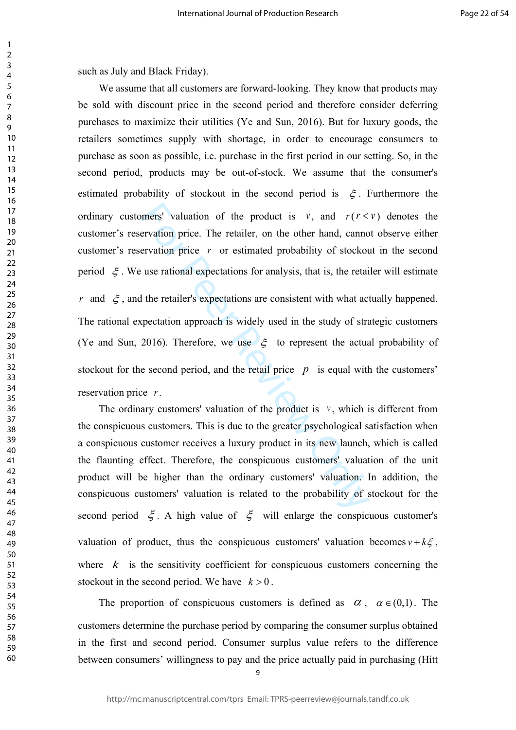such as July and Black Friday).

123456789

 $\mathbf{1}$  $\overline{2}$  $\overline{3}$  $\overline{4}$ 5 6  $\overline{7}$ 8 9

mers' valuation of the product is  $v$ , and  $r(r <$ <br>ervation price. The retailer, on the other hand, canno<br>ervation price r or estimated probability of stockou<br>use rational expectations for analysis, that is, the retail<br>the We assume that all customers are forward-looking. They know that products may be sold with discount price in the second period and therefore consider deferring purchases to maximize their utilities (Ye and Sun, 2016). But for luxury goods, the retailers sometimes supply with shortage, in order to encourage consumers to purchase as soon as possible, i.e. purchase in the first period in our setting. So, in the second period, products may be out-of-stock. We assume that the consumer's estimated probability of stockout in the second period is  $\xi$ . Furthermore the ordinary customers' valuation of the product is  $v$ , and  $r (r \le v)$  denotes the customer's reservation price. The retailer, on the other hand, cannot observe either customer's reservation price r or estimated probability of stockout in the second period  $\zeta$ . We use rational expectations for analysis, that is, the retailer will estimate *r* and  $\xi$ , and the retailer's expectations are consistent with what actually happened. The rational expectation approach is widely used in the study of strategic customers (Ye and Sun, 2016). Therefore, we use  $\xi$  to represent the actual probability of stockout for the second period, and the retail price  $p$  is equal with the customers' reservation price *r* .

The ordinary customers' valuation of the product is  $\nu$ , which is different from the conspicuous customers. This is due to the greater psychological satisfaction when a conspicuous customer receives a luxury product in its new launch, which is called the flaunting effect. Therefore, the conspicuous customers' valuation of the unit product will be higher than the ordinary customers' valuation. In addition, the conspicuous customers' valuation is related to the probability of stockout for the second period  $\xi$ . A high value of  $\xi$  will enlarge the conspicuous customer's valuation of product, thus the conspicuous customers' valuation becomes  $v + k\xi$ , where  $k$  is the sensitivity coefficient for conspicuous customers concerning the stockout in the second period. We have  $k > 0$ .

The proportion of conspicuous customers is defined as  $\alpha$ ,  $\alpha \in (0,1)$ . The customers determine the purchase period by comparing the consumer surplus obtained in the first and second period. Consumer surplus value refers to the difference between consumers' willingness to pay and the price actually paid in purchasing (Hitt

 $\overline{a}$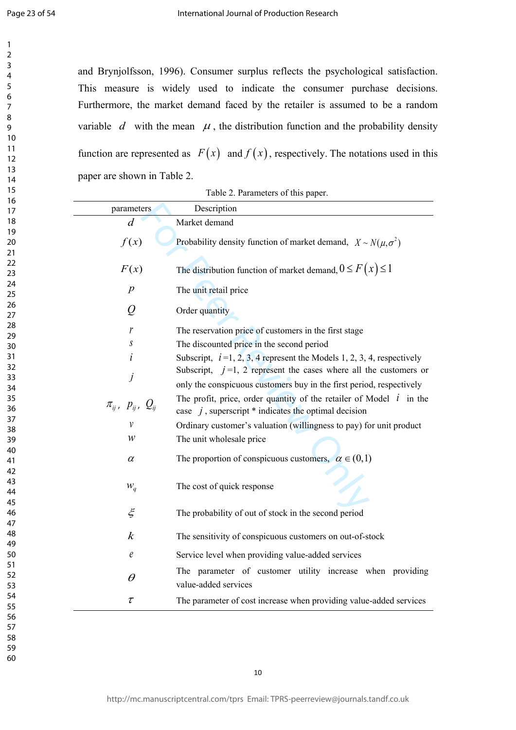$\mathbf{1}$  $\overline{2}$ 3  $\overline{4}$ 5 6  $\overline{7}$ 8 9

and Brynjolfsson, 1996). Consumer surplus reflects the psychological satisfaction. This measure is widely used to indicate the consumer purchase decisions. Furthermore, the market demand faced by the retailer is assumed to be a random variable  $d$  with the mean  $\mu$ , the distribution function and the probability density function are represented as  $F(x)$  and  $f(x)$ , respectively. The notations used in this paper are shown in Table 2.

|                                  | $1$ avit $2.1$ argued to $10$ uns paper.                                 |  |
|----------------------------------|--------------------------------------------------------------------------|--|
| parameters                       | Description                                                              |  |
| $\overline{d}$                   | Market demand                                                            |  |
| f(x)                             | Probability density function of market demand, $X \sim N(\mu, \sigma^2)$ |  |
|                                  |                                                                          |  |
| F(x)                             | The distribution function of market demand, $0 \le F(x) \le 1$           |  |
| $\boldsymbol{p}$                 | The unit retail price                                                    |  |
| Q                                | Order quantity                                                           |  |
| r                                | The reservation price of customers in the first stage                    |  |
| $\boldsymbol{S}$                 | The discounted price in the second period                                |  |
| $\dot{i}$                        | Subscript, $i=1, 2, 3, 4$ represent the Models 1, 2, 3, 4, respectively  |  |
|                                  | Subscript, $j=1$ , 2 represent the cases where all the customers or      |  |
| j                                | only the conspicuous customers buy in the first period, respectively     |  |
|                                  | The profit, price, order quantity of the retailer of Model $i$ in the    |  |
| $\pi_{ij}$ , $p_{ij}$ , $Q_{ij}$ | case $j$ , superscript $*$ indicates the optimal decision                |  |
| v                                | Ordinary customer's valuation (willingness to pay) for unit product      |  |
| W                                | The unit wholesale price                                                 |  |
|                                  |                                                                          |  |
| $\alpha$                         | The proportion of conspicuous customers, $\alpha \in (0,1)$              |  |
|                                  |                                                                          |  |
| $W_q$                            | The cost of quick response                                               |  |
| $\xi$                            |                                                                          |  |
|                                  | The probability of out of stock in the second period                     |  |
| $\boldsymbol{k}$                 | The sensitivity of conspicuous customers on out-of-stock                 |  |
| $\ell$                           | Service level when providing value-added services                        |  |
|                                  |                                                                          |  |
| $\theta$                         | The parameter of customer utility increase when providing                |  |
|                                  | value-added services                                                     |  |
| $\tau$                           | The parameter of cost increase when providing value-added services       |  |

Table 2. Parameters of this paper.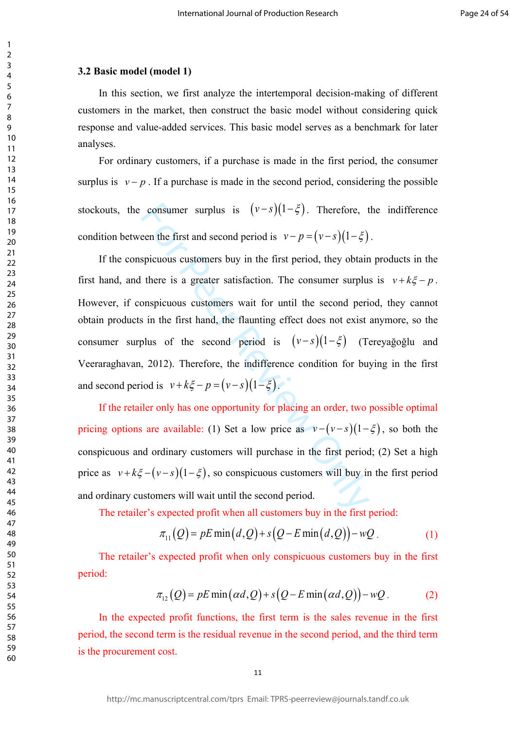#### **3.2 Basic model (model 1)**

 $\mathbf{1}$  $\overline{2}$  $\overline{3}$  $\overline{4}$  $\overline{7}$ 

In this section, we first analyze the intertemporal decision-making of different customers in the market, then construct the basic model without considering quick response and value-added services. This basic model serves as a benchmark for later analyses.

For ordinary customers, if a purchase is made in the first period, the consumer surplus is  $v - p$ . If a purchase is made in the second period, considering the possible stockouts, the consumer surplus is  $(v-s)(1-\xi)$ . Therefore, the indifference condition between the first and second period is  $v - p = (v - s)(1 - \xi)$ .

consumer surplus is  $(v-s)(1-\xi)$ . Therefore, then the first and second period is  $v-p=(v-s)(1-\xi)$ <br>spicuous customers buy in the first period, they obtain<br>there is a greater satisfaction. The consumer surplu-<br>onspicuous customers If the conspicuous customers buy in the first period, they obtain products in the first hand, and there is a greater satisfaction. The consumer surplus is  $v + k\xi - p$ . However, if conspicuous customers wait for until the second period, they cannot obtain products in the first hand, the flaunting effect does not exist anymore, so the consumer surplus of the second period is  $(v-s)(1-\xi)$  (Tereyağoğlu and Veeraraghavan, 2012). Therefore, the indifference condition for buying in the first and second period is  $v + k\xi - p = (v - s)(1 - \xi)$ .

If the retailer only has one opportunity for placing an order, two possible optimal pricing options are available: (1) Set a low price as  $v - (v - s)(1 - \xi)$ , so both the conspicuous and ordinary customers will purchase in the first period; (2) Set a high price as  $v + k \xi - (v - s)(1 - \xi)$ , so conspicuous customers will buy in the first period and ordinary customers will wait until the second period.

The retailer's expected profit when all customers buy in the first period:

$$
\pi_{11}(Q) = pE \min\left(d, Q\right) + s\left(Q - E \min\left(d, Q\right)\right) - wQ. \tag{1}
$$

The retailer's expected profit when only conspicuous customers buy in the first period:

$$
\pi_{12}(Q) = pE \min(\alpha d, Q) + s(Q - E \min(\alpha d, Q)) - wQ. \tag{2}
$$

In the expected profit functions, the first term is the sales revenue in the first period, the second term is the residual revenue in the second period, and the third term is the procurement cost.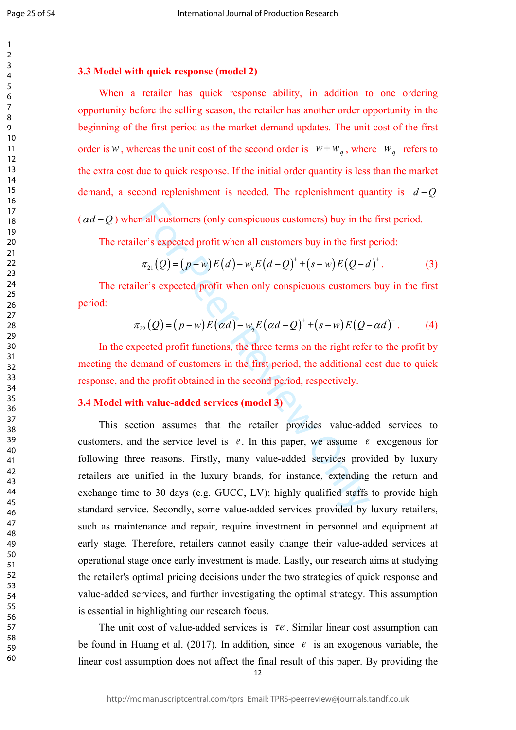Page 25 of 54

# **3.3 Model with quick response (model 2)**

When a retailer has quick response ability, in addition to one ordering opportunity before the selling season, the retailer has another order opportunity in the beginning of the first period as the market demand updates. The unit cost of the first order is *w*, whereas the unit cost of the second order is  $W + W_q$ , where  $W_q$  refers to the extra cost due to quick response. If the initial order quantity is less than the market demand, a second replenishment is needed. The replenishment quantity is  $d - Q$  $(\alpha d - Q)$  when all customers (only conspicuous customers) buy in the first period.

The retailer's expected profit when all customers buy in the first period:

$$
\pi_{21}(Q) = (p-w)E(d) - w_qE(d-Q)^+ + (s-w)E(Q-d)^+.
$$
 (3)

The retailer's expected profit when only conspicuous customers buy in the first period:

$$
\pi_{22}(Q) = (p-w)E(\alpha d) - w_qE(\alpha d - Q)^+ + (s-w)E(Q - \alpha d)^+.
$$
 (4)

In the expected profit functions, the three terms on the right refer to the profit by meeting the demand of customers in the first period, the additional cost due to quick response, and the profit obtained in the second period, respectively.

# **3.4 Model with value-added services (model 3)**

all customers (only conspicuous customers) buy in the<br>
er's expected profit when all customers buy in the first  $\pi_{21}(Q) = (p-w)E(d) - w_qE(d-Q)^+ + (s-w)E(Q-a)$ <br>
er's expected profit when only conspicuous customers<br>  $\pi_{22}(Q) = (p-w)E(\alpha d$ This section assumes that the retailer provides value-added services to customers, and the service level is  $e$ . In this paper, we assume  $e$  exogenous for following three reasons. Firstly, many value-added services provided by luxury retailers are unified in the luxury brands, for instance, extending the return and exchange time to 30 days (e.g. GUCC, LV); highly qualified staffs to provide high standard service. Secondly, some value-added services provided by luxury retailers, such as maintenance and repair, require investment in personnel and equipment at early stage. Therefore, retailers cannot easily change their value-added services at operational stage once early investment is made. Lastly, our research aims at studying the retailer's optimal pricing decisions under the two strategies of quick response and value-added services, and further investigating the optimal strategy. This assumption is essential in highlighting our research focus.

The unit cost of value-added services is  $\tau e$ . Similar linear cost assumption can be found in Huang et al. (2017). In addition, since  $e$  is an exogenous variable, the linear cost assumption does not affect the final result of this paper. By providing the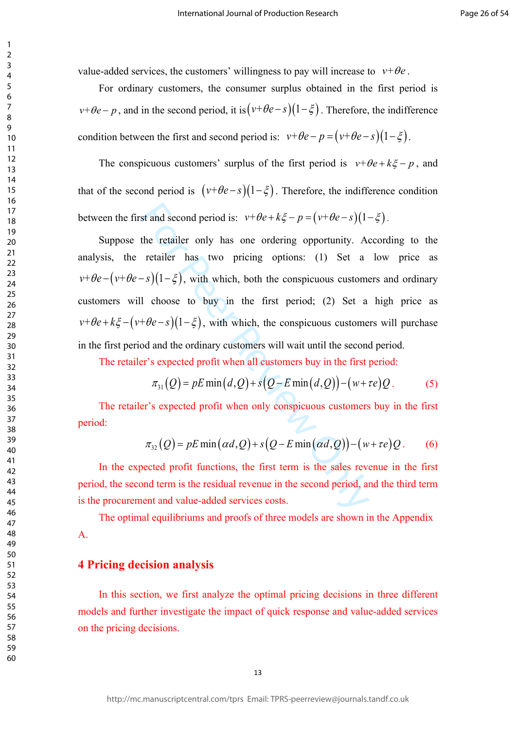$\mathbf{1}$ 

value-added services, the customers' willingness to pay will increase to  $v+\theta e$ .

For ordinary customers, the consumer surplus obtained in the first period is  $v+\theta e$  – p, and in the second period, it is  $(v+\theta e$  – s) $(1-\xi)$ . Therefore, the indifference condition between the first and second period is:  $v+\theta e-p=(v+\theta e-s)(1-\xi)$ .

The conspicuous customers' surplus of the first period is  $v+\theta e+k\xi-p$ , and that of the second period is  $(v+\theta e-s)(1-\xi)$ . Therefore, the indifference condition between the first and second period is:  $v+\theta e+k\xi-p=(v+\theta e-s)(1-\xi)$ .

st and second period is:  $v+\theta e + k\xi - p = (v+\theta e - s)(1$ <br>the retailer only has one ordering opportunity. A<br>retailer has two pricing options: (1) Set a<br> $-s)(1-\xi)$ , with which, both the conspicuous custome<br>1 choose to buy in the first Suppose the retailer only has one ordering opportunity. According to the analysis, the retailer has two pricing options: (1) Set a low price as  $v+\theta e-(v+\theta e-s)(1-\xi)$ , with which, both the conspicuous customers and ordinary customers will choose to buy in the first period; (2) Set a high price as  $v+\theta e+k\xi-(v+\theta e-s)(1-\xi)$ , with which, the conspicuous customers will purchase in the first period and the ordinary customers will wait until the second period.

The retailer's expected profit when all customers buy in the first period:

$$
\pi_{31}(Q) = pE \min(d, Q) + s(Q - E \min(d, Q)) - (w + \tau e)Q. \tag{5}
$$

The retailer's expected profit when only conspicuous customers buy in the first period:

$$
\pi_{32}(Q) = pE \min(\alpha d, Q) + s(Q - E \min(\alpha d, Q)) - (w + \tau e)Q. \quad (6)
$$

In the expected profit functions, the first term is the sales revenue in the first period, the second term is the residual revenue in the second period, and the third term is the procurement and value-added services costs.

The optimal equilibriums and proofs of three models are shown in the Appendix A.

# **4 Pricing decision analysis**

In this section, we first analyze the optimal pricing decisions in three different models and further investigate the impact of quick response and value-added services on the pricing decisions.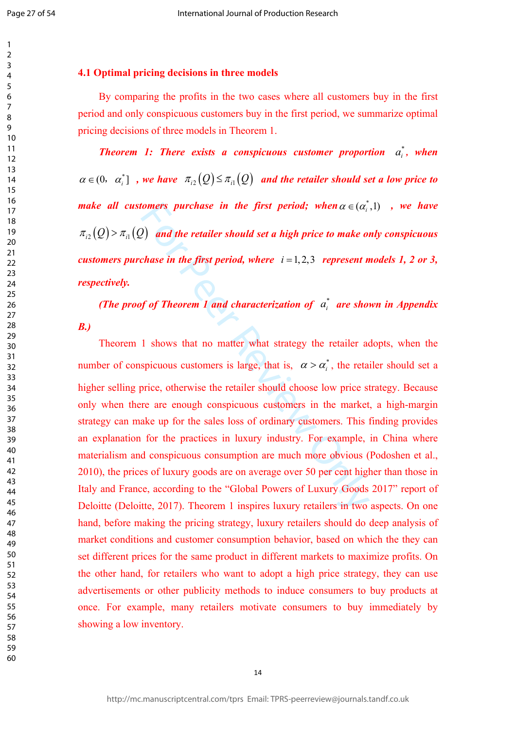$\mathbf{1}$ 

## 123456789  $\overline{2}$  $\overline{3}$  $\overline{4}$ 5 6  $\overline{7}$ 8 9 10 11 12 13 14 15 16 17 18 19 20 21 22 23 24 25 26 27 28 29 30 31 32 33 34 35 36 37 38 39 40 41 42 43 44 45 46 47 48 49 50 51 52 53 54 55 56 57 58 59

60

## **4.1 Optimal pricing decisions in three models**

By comparing the profits in the two cases where all customers buy in the first period and only conspicuous customers buy in the first period, we summarize optimal pricing decisions of three models in Theorem 1.

*Theorem 1: There exists a conspicuous customer proportion*  $a_i^*$ *, when*  $\alpha \in (0, \alpha_i^*)$ , we have  $\pi_{i2}(Q) \leq \pi_{i1}(Q)$  and the retailer should set a low price to *make all customers purchase in the first period; when*  $\alpha \in (\alpha_i^*, 1)$  , we have  $\pi_{i2}(Q)$  >  $\pi_{i1}(Q)$  and the retailer should set a high price to make only conspicuous *customers purchase in the first period, where*  $i = 1, 2, 3$  *represent models 1, 2 or 3, respectively.*

*(The proof of Theorem 1 and characterization of*  $a_i^*$  *are shown in Appendix*  $a_i^*$ 

*B.)*

fomers purchase in the first period; when  $\alpha \in (\alpha_i^r)$ <br>
2) and the retailer should set a high price to make of<br>
chase in the first period, where  $i = 1, 2, 3$  represent n<br>
of of Theorem 1 and characterization of  $\alpha_i^*$  ar Theorem 1 shows that no matter what strategy the retailer adopts, when the number of conspicuous customers is large, that is,  $\alpha > \alpha_i^*$ , the retailer should set a higher selling price, otherwise the retailer should choose low price strategy. Because only when there are enough conspicuous customers in the market, a high-margin strategy can make up for the sales loss of ordinary customers. This finding provides an explanation for the practices in luxury industry. For example, in China where materialism and conspicuous consumption are much more obvious (Podoshen et al., 2010), the prices of luxury goods are on average over 50 per cent higher than those in Italy and France, according to the "Global Powers of Luxury Goods 2017" report of Deloitte (Deloitte, 2017). Theorem 1 inspires luxury retailers in two aspects. On one hand, before making the pricing strategy, luxury retailers should do deep analysis of market conditions and customer consumption behavior, based on which the they can set different prices for the same product in different markets to maximize profits. On the other hand, for retailers who want to adopt a high price strategy, they can use advertisements or other publicity methods to induce consumers to buy products at once. For example, many retailers motivate consumers to buy immediately by showing a low inventory.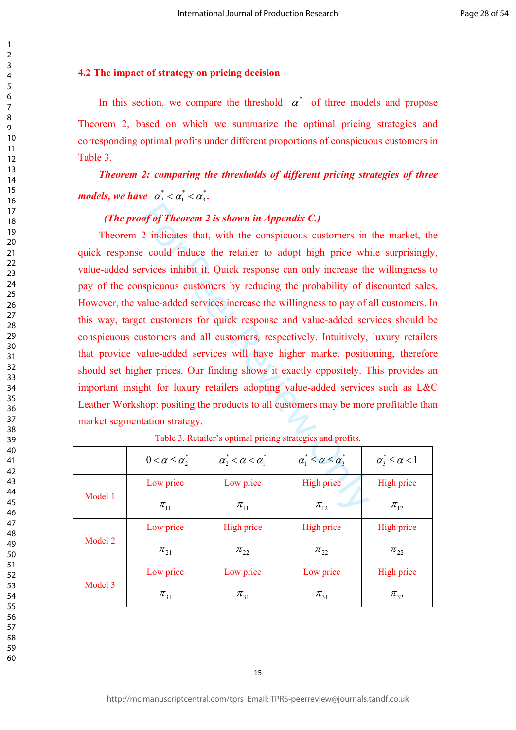# **4.2 The impact of strategy on pricing decision**

In this section, we compare the threshold  $\alpha^*$  of three models and propose Theorem 2, based on which we summarize the optimal pricing strategies and corresponding optimal profits under different proportions of conspicuous customers in Table 3.

*Theorem 2: comparing the thresholds of different pricing strategies of three models, we have*  $\alpha_2^* < \alpha_1^* < \alpha_3^*$ .

# *(The proof of Theorem 2 is shown in Appendix C.)*

of of Theorem 2 is shown in Appendix C.)<br>
2 indicates that, with the conspicuous customers in<br>
e could induce the retailer to adopt high price wh<br>
rvices inhibit it. Quick response can only increase the<br>
spicuous customer Theorem 2 indicates that, with the conspicuous customers in the market, the quick response could induce the retailer to adopt high price while surprisingly, value-added services inhibit it. Quick response can only increase the willingness to pay of the conspicuous customers by reducing the probability of discounted sales. However, the value-added services increase the willingness to pay of all customers. In this way, target customers for quick response and value-added services should be conspicuous customers and all customers, respectively. Intuitively, luxury retailers that provide value-added services will have higher market positioning, therefore should set higher prices. Our finding shows it exactly oppositely. This provides an important insight for luxury retailers adopting value-added services such as L&C Leather Workshop: positing the products to all customers may be more profitable than market segmentation strategy.

|         | $0 < \alpha \leq \alpha^*$ | $\alpha_2^* < \alpha < \alpha_1^*$ | $\alpha_1^* \leq \alpha \leq \alpha_3^*$ | $\alpha_3^* \leq \alpha < 1$ |
|---------|----------------------------|------------------------------------|------------------------------------------|------------------------------|
| Model 1 | Low price                  | Low price                          | High price                               | High price                   |
|         | $\pi_{11}$                 | $\pi_{11}$                         | $\pi_{12}$                               | $\pi_{12}$                   |
| Model 2 | Low price                  | High price                         | High price                               | High price                   |
|         | $\pi_{21}$                 | $\pi_{22}$                         | $\pi_{22}$                               | $\pi_{22}$                   |
| Model 3 | Low price                  | Low price                          | Low price                                | High price                   |
|         | $\pi_{31}$                 | $\pi_{31}$                         | $\pi_{31}$                               | $\pi_{32}$                   |

Table 3. Retailer's optimal pricing strategies and profits.

 $\mathbf{1}$  $\overline{2}$  $\overline{3}$  $\overline{4}$  $\overline{7}$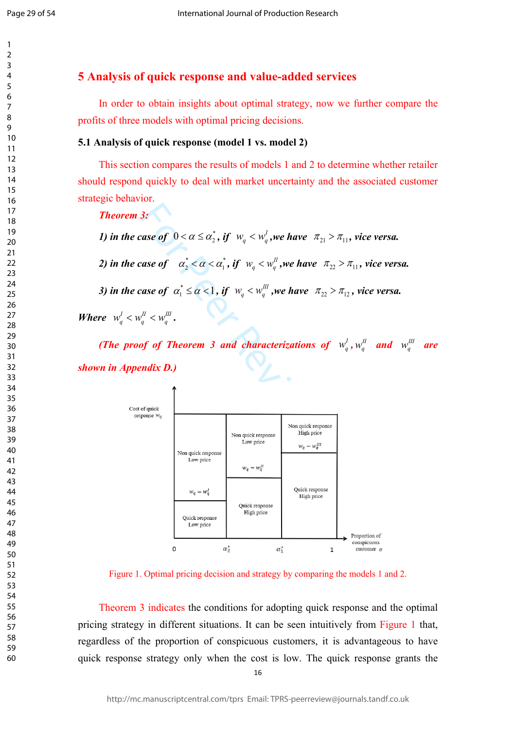$\mathbf{1}$  $\overline{2}$  $\overline{3}$  $\overline{4}$  $\overline{7}$ 

# **5 Analysis of quick response and value-added services**

In order to obtain insights about optimal strategy, now we further compare the profits of three models with optimal pricing decisions.

## **5.1 Analysis of quick response (model 1 vs. model 2)**

This section compares the results of models 1 and 2 to determine whether retailer should respond quickly to deal with market uncertainty and the associated customer strategic behavior.

*Theorem 3:*

*1) in the case of*  $0 < \alpha \le \alpha_2^*$ , if  $w_q < w_q^I$ , we have  $\pi_{21} > \pi_{11}$ , vice versa.

*2) in the case of*  $\alpha_2^* < \alpha < \alpha_1^*$ , if  $w_q < w_q^H$ , we have  $\pi_{22} > \pi_{11}$ , vice versa.

*3) in the case of*  $\alpha_1^* \leq \alpha < 1$ , *if*  $w_a < w_a^{\parallel \parallel}$ , we have  $\pi_{22} > \pi_{12}$ , vice versa.

*Where*  $w_q^I < w_q^I < w_q^I$ .

*(The proof of Theorem 3 and characterizations of*  $w_q^I$ *,*  $w_q^I$  *and*  $w_q^{III}$  *are shown in Appendix D.)*



Figure 1. Optimal pricing decision and strategy by comparing the models 1 and 2.

Theorem 3 indicates the conditions for adopting quick response and the optimal pricing strategy in different situations. It can be seen intuitively from Figure 1 that, regardless of the proportion of conspicuous customers, it is advantageous to have quick response strategy only when the cost is low. The quick response grants the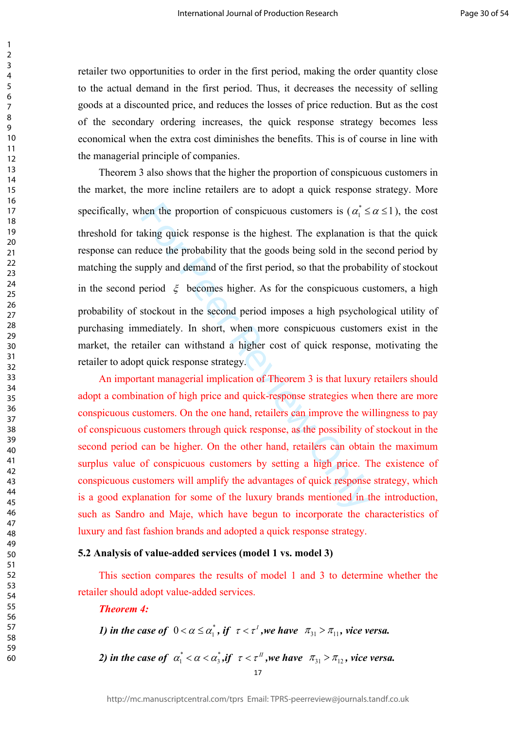retailer two opportunities to order in the first period, making the order quantity close to the actual demand in the first period. Thus, it decreases the necessity of selling goods at a discounted price, and reduces the losses of price reduction. But as the cost of the secondary ordering increases, the quick response strategy becomes less economical when the extra cost diminishes the benefits. This is of course in line with the managerial principle of companies.

hen the proportion of conspicuous customers is  $(\alpha_1^* \leq \alpha_2^*)$ <br>aking quick response is the highest. The explanation is<br>duce the probability that the goods being sold in the s<br>upply and demand of the first period, so tha Theorem 3 also shows that the higher the proportion of conspicuous customers in the market, the more incline retailers are to adopt a quick response strategy. More specifically, when the proportion of conspicuous customers is ( $\alpha_1^* \le \alpha \le 1$ ), the cost threshold for taking quick response is the highest. The explanation is that the quick response can reduce the probability that the goods being sold in the second period by matching the supply and demand of the first period, so that the probability of stockout in the second period  $\xi$  becomes higher. As for the conspicuous customers, a high probability of stockout in the second period imposes a high psychological utility of purchasing immediately. In short, when more conspicuous customers exist in the market, the retailer can withstand a higher cost of quick response, motivating the retailer to adopt quick response strategy.

An important managerial implication of Theorem 3 is that luxury retailers should adopt a combination of high price and quick-response strategies when there are more conspicuous customers. On the one hand, retailers can improve the willingness to pay of conspicuous customers through quick response, as the possibility of stockout in the second period can be higher. On the other hand, retailers can obtain the maximum surplus value of conspicuous customers by setting a high price. The existence of conspicuous customers will amplify the advantages of quick response strategy, which is a good explanation for some of the luxury brands mentioned in the introduction, such as Sandro and Maje, which have begun to incorporate the characteristics of luxury and fast fashion brands and adopted a quick response strategy.

#### **5.2 Analysis of value-added services (model 1 vs. model 3)**

This section compares the results of model 1 and 3 to determine whether the retailer should adopt value-added services.

## *Theorem 4:*

*1) in the case of*  $0 < \alpha \leq \alpha_1^*$ , if  $\tau < \tau^1$ , we have  $\pi_{31} > \pi_{11}$ , vice versa.

*2) in the case of*  $\alpha_1^* < \alpha < \alpha_3^*$ , if  $\tau < \tau^n$ , we have  $\pi_{31} > \pi_{12}$ , vice versa.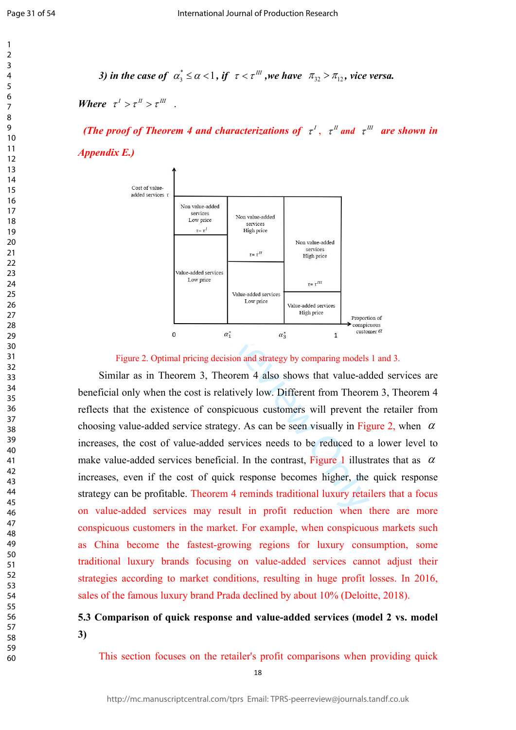$\mathbf{1}$  $\overline{2}$  $\overline{3}$  $\overline{4}$  $\overline{7}$  $\mathsf{o}$ 

*3) in the case of*  $\alpha_3^* \le \alpha < 1$ , if  $\tau < \tau^{\text{III}}$ , we have  $\pi_{32} > \pi_{12}$ , vice versa.

*Where*  $\tau^I > \tau^I \tau^I$ 

*(The proof of Theorem 4 and characterizations of*  $\tau^I$ ,  $\tau^I$  *and*  $\tau^{II}$  *are shown in Appendix E.)*



#### Figure 2. Optimal pricing decision and strategy by comparing models 1 and 3.

Similar as in Theorem 3, Theorem 4 also shows that value-added services are beneficial only when the cost is relatively low. Different from Theorem 3, Theorem 4 reflects that the existence of conspicuous customers will prevent the retailer from choosing value-added service strategy. As can be seen visually in Figure 2, when  $\alpha$ increases, the cost of value-added services needs to be reduced to a lower level to make value-added services beneficial. In the contrast, Figure 1 illustrates that as  $\alpha$ increases, even if the cost of quick response becomes higher, the quick response strategy can be profitable. Theorem 4 reminds traditional luxury retailers that a focus on value-added services may result in profit reduction when there are more conspicuous customers in the market. For example, when conspicuous markets such as China become the fastest-growing regions for luxury consumption, some traditional luxury brands focusing on value-added services cannot adjust their strategies according to market conditions, resulting in huge profit losses. In 2016, sales of the famous luxury brand Prada declined by about 10% (Deloitte, 2018).

# **5.3 Comparison of quick response and value-added services (model 2 vs. model 3)**

This section focuses on the retailer's profit comparisons when providing quick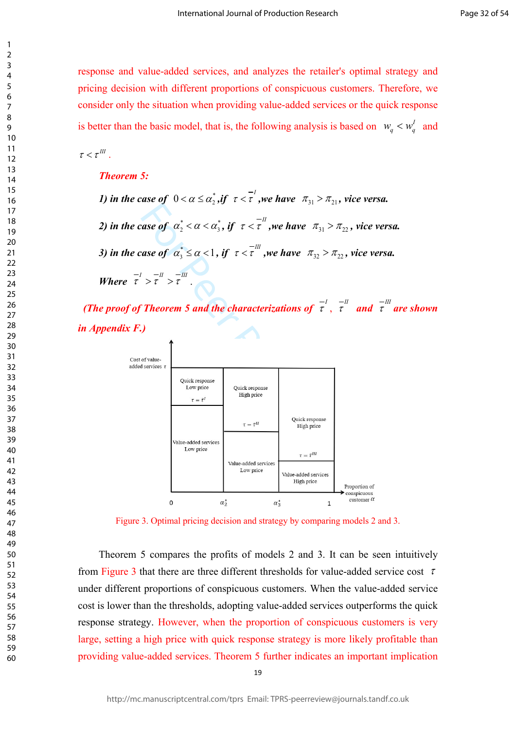response and value-added services, and analyzes the retailer's optimal strategy and pricing decision with different proportions of conspicuous customers. Therefore, we consider only the situation when providing value-added services or the quick response is better than the basic model, that is, the following analysis is based on  $w_a < w'_a$  and

 $\tau < \tau^{III}$ .

 $\mathbf{1}$  $\overline{2}$  $\overline{3}$  $\overline{4}$  $\overline{7}$ 

#### *Theorem 5:*

- *1) in the case of*  $0 < \alpha \le \alpha_2^*$ , *if*  $\tau < \tau^1$ , *we have*  $\pi_{31} > \pi_{21}$ , *vice versa.*
- *2) in the case of*  $\alpha_2^* < \alpha < \alpha_3^*$ , if  $\tau < \tau^{-II}$ , we have  $\pi_{31} > \pi_{22}$ , vice versa.

*3) in the case of*  $\alpha_3^* \le \alpha < 1$ , if  $\tau < \tau^{-III}$ , we have  $\pi_{32} > \pi_{22}$ , vice versa.

*Where*  $\tau$ <sup>*I*</sup>  $> \tau$ <sup>*III*</sup>  $> \tau$ <sup>III</sup>

*(The proof of Theorem 5 and the characterizations of*  $\vec{\tau}$ ,  $\vec{\tau}$  and  $\vec{\tau}$  are shown *in Appendix F.)*



Figure 3. Optimal pricing decision and strategy by comparing models 2 and 3.

Theorem 5 compares the profits of models 2 and 3. It can be seen intuitively from Figure 3 that there are three different thresholds for value-added service cost  $\tau$ under different proportions of conspicuous customers. When the value-added service cost is lower than the thresholds, adopting value-added services outperforms the quick response strategy. However, when the proportion of conspicuous customers is very large, setting a high price with quick response strategy is more likely profitable than providing value-added services. Theorem 5 further indicates an important implication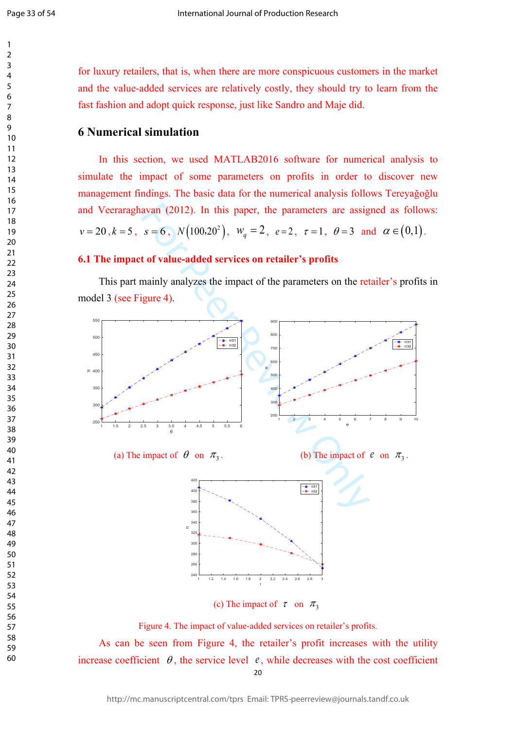$\mathbf{1}$  $\overline{2}$  $\overline{3}$  $\overline{4}$  $\overline{7}$ 

for luxury retailers, that is, when there are more conspicuous customers in the market and the value-added services are relatively costly, they should try to learn from the fast fashion and adopt quick response, just like Sandro and Maje did.

# **6 Numerical simulation**

In this section, we used MATLAB2016 software for numerical analysis to simulate the impact of some parameters on profits in order to discover new management findings. The basic data for the numerical analysis follows Tereyağoğlu and Veeraraghavan (2012). In this paper, the parameters are assigned as follows:  $v = 20, k = 5, s = 6, N(100.20^2), w_q = 2, e = 2, \tau = 1, \theta = 3 \text{ and } \alpha \in (0,1).$ 

## **6.1 The impact of value-added services on retailer's profits**

This part mainly analyzes the impact of the parameters on the retailer's profits in model 3 (see Figure 4) .



 As can be seen from Figure 4, the retailer's profit increases with the utility increase coefficient  $\theta$ , the service level  $\theta$ , while decreases with the cost coefficient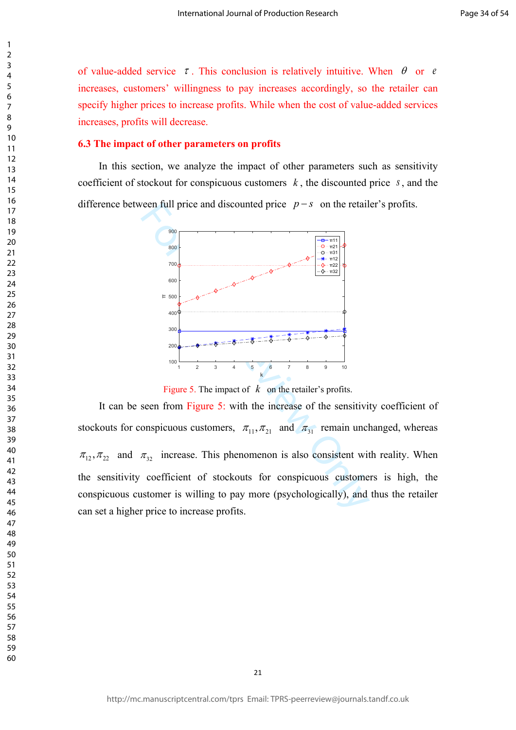of value-added service  $\tau$ . This conclusion is relatively intuitive. When  $\theta$  or  $\theta$ increases, customers' willingness to pay increases accordingly, so the retailer can specify higher prices to increase profits. While when the cost of value-added services increases, profits will decrease.

## **6.3 The impact of other parameters on profits**

 $\mathbf{1}$  $\overline{2}$  $\overline{3}$  $\overline{4}$  $\overline{7}$ 

In this section, we analyze the impact of other parameters such as sensitivity coefficient of stockout for conspicuous customers *k* , the discounted price *s*, and the difference between full price and discounted price  $p - s$  on the retailer's profits.



Figure 5. The impact of  $k$  on the retailer's profits.

It can be seen from Figure 5: with the increase of the sensitivity coefficient of stockouts for conspicuous customers,  $\pi_{11}, \pi_{21}$  and  $\pi_{31}$  remain unchanged, whereas  $\pi_{12}, \pi_{22}$  and  $\pi_{32}$  increase. This phenomenon is also consistent with reality. When the sensitivity coefficient of stockouts for conspicuous customers is high, the conspicuous customer is willing to pay more (psychologically), and thus the retailer can set a higher price to increase profits.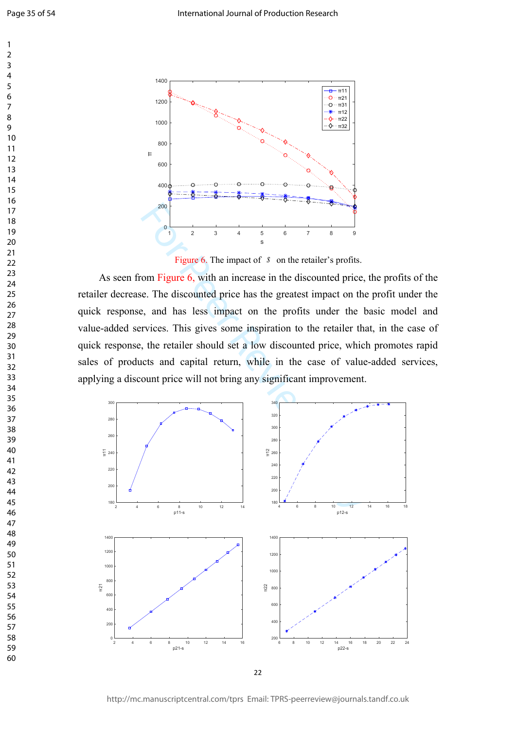$\overline{7}$ 

 $\overline{9}$ 

 $\mathbf{1}$  $\overline{2}$  $\overline{3}$  $\overline{4}$ 



Figure 6. The impact of  $s$  on the retailer's profits.

As seen from Figure 6, with an increase in the discounted price, the profits of the retailer decrease. The discounted price has the greatest impact on the profit under the quick response, and has less impact on the profits under the basic model and value-added services. This gives some inspiration to the retailer that, in the case of quick response, the retailer should set a low discounted price, which promotes rapid sales of products and capital return, while in the case of value-added services, applying a discount price will not bring any significant improvement.



http://mc.manuscriptcentral.com/tprs Email: TPRS-peerreview@journals.tandf.co.uk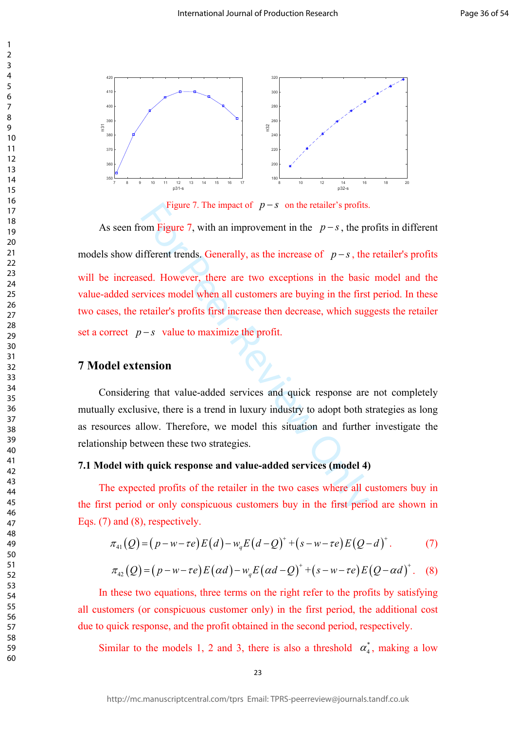

Figure 7. The impact of  $p - s$  on the retailer's profits.

Figure 7. The impact of  $p-s$  on the retailer's profits.<br>
om Figure 7, with an improvement in the  $p-s$ , the pr<br>
ifferent trends. Generally, as the increase of  $p-s$ , the<br>
seed. However, there are two exceptions in the basic As seen from Figure 7, with an improvement in the  $p - s$ , the profits in different models show different trends. Generally, as the increase of  $p - s$ , the retailer's profits will be increased. However, there are two exceptions in the basic model and the value-added services model when all customers are buying in the first period. In these two cases, the retailer's profits first increase then decrease, which suggests the retailer set a correct  $p - s$  value to maximize the profit.

# **7 Model extension**

 $\mathbf{1}$  $\overline{2}$  $\overline{3}$  $\overline{4}$  $\overline{7}$ 

Considering that value-added services and quick response are not completely mutually exclusive, there is a trend in luxury industry to adopt both strategies as long as resources allow. Therefore, we model this situation and further investigate the relationship between these two strategies.

## **7.1 Model with quick response and value-added services (model 4)**

The expected profits of the retailer in the two cases where all customers buy in the first period or only conspicuous customers buy in the first period are shown in Eqs. (7) and (8), respectively.

$$
\pi_{41}(Q) = (p - w - \tau e)E(d) - w_q E(d - Q)^+ + (s - w - \tau e)E(Q - d)^+.
$$
 (7)

$$
\pi_{42}(Q) = (p - w - \tau e)E(\alpha d) - w_q E(\alpha d - Q)^+ + (s - w - \tau e)E(Q - \alpha d)^+. \quad (8)
$$

In these two equations, three terms on the right refer to the profits by satisfying all customers (or conspicuous customer only) in the first period, the additional cost due to quick response, and the profit obtained in the second period, respectively.

Similar to the models 1, 2 and 3, there is also a threshold  $\alpha_4^*$ , making a low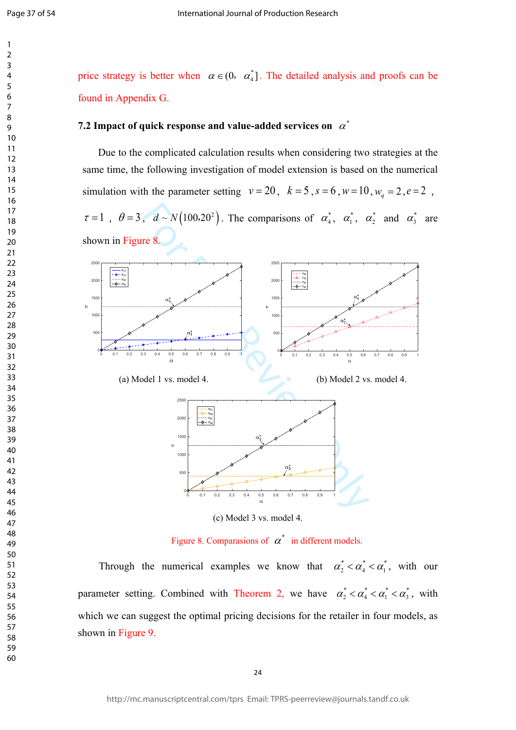$\mathbf{1}$  $\overline{2}$  $\overline{\mathbf{3}}$  $\overline{4}$  $\overline{7}$ 

price strategy is better when  $\alpha \in (0, \alpha^*_4]$ . The detailed analysis and proofs can be found in Appendix G.

## **7.2 Impact of quick response and value-added services on**  $\alpha^*$

Due to the complicated calculation results when considering two strategies at the same time, the following investigation of model extension is based on the numerical simulation with the parameter setting  $v = 20$ ,  $k = 5$ ,  $s = 6$ ,  $w = 10$ ,  $w_q = 2$ ,  $e = 2$ ,  $\tau = 1$ ,  $\theta = 3$ ,  $d \sim N(100.20^2)$ . The comparisons of  $\alpha_4^*$ ,  $\alpha_1^*$ ,  $\alpha_2^*$  and  $\alpha_3^*$  are shown in Figure 8.



Figure 8. Comparasions of  $\alpha^*$  in different models.

Through the numerical examples we know that  $\alpha_2^* < \alpha_4^* < \alpha_1^*$ , with our parameter setting. Combined with Theorem 2, we have  $\alpha_2^* < \alpha_4^* < \alpha_1^* < \alpha_3^*$ , with which we can suggest the optimal pricing decisions for the retailer in four models, as shown in Figure 9.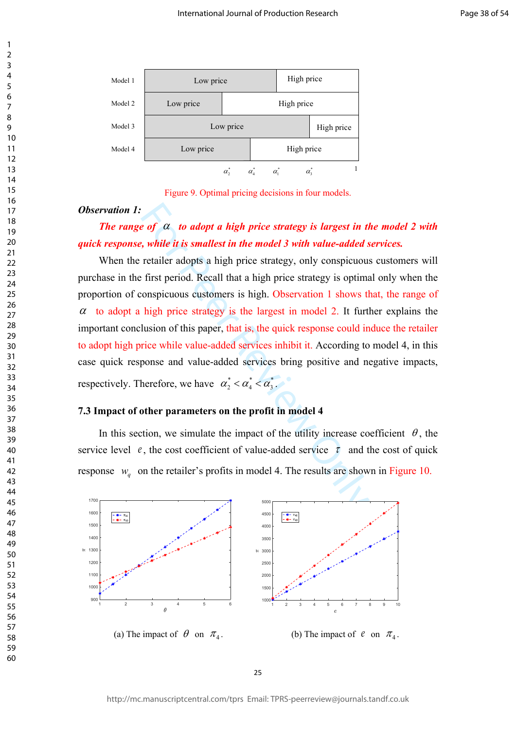

Figure 9. Optimal pricing decisions in four models.

#### *Observation 1:*

# *The range of*  $\alpha$  *to adopt a high price strategy is largest in the model 2 with quick response, while it is smallest in the model 3 with value-added services.*

**Example 2018 CONTERT ACTS CONTROLLER CONTROLLER CONTROLLER CONTROLLER CONTROLLER CONTROLLER CONTROLLER CONTROLLER CONTROLLER CONTROLLER CONTROLLER CONTROLLER CONTROLLER CONTROLLER CONTROLLER CONTROLLER CONTROLLER CONTROL** When the retailer adopts a high price strategy, only conspicuous customers will purchase in the first period. Recall that a high price strategy is optimal only when the proportion of conspicuous customers is high. Observation 1 shows that, the range of  $\alpha$  to adopt a high price strategy is the largest in model 2. It further explains the important conclusion of this paper, that is, the quick response could induce the retailer to adopt high price while value-added services inhibit it. According to model 4, in this case quick response and value-added services bring positive and negative impacts, respectively. Therefore, we have  $\alpha_2^* < \alpha_4^* < \alpha_3^*$ .

#### **7.3 Impact of other parameters on the profit in model 4**

In this section, we simulate the impact of the utility increase coefficient  $\theta$ , the service level  $e$ , the cost coefficient of value-added service  $\tau$  and the cost of quick response  $w_q$  on the retailer's profits in model 4. The results are shown in Figure 10.

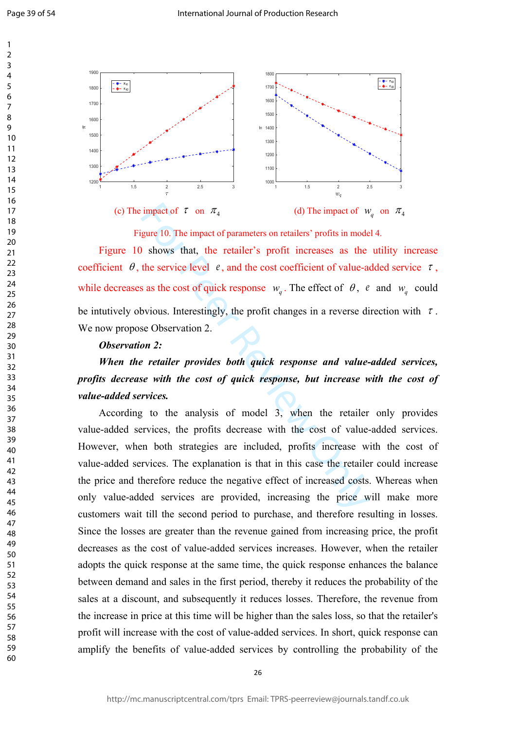$\overline{7}$  $\mathsf{o}$ 

 $\mathbf{1}$  $\overline{2}$  $\overline{3}$  $\overline{4}$ 



Figure 10. The impact of parameters on retailers' profits in model 4.

Figure 10 shows that, the retailer's profit increases as the utility increase coefficient  $\theta$ , the service level  $\theta$ , and the cost coefficient of value-added service  $\tau$ , while decreases as the cost of quick response  $w_a$ . The effect of  $\theta$ ,  $e$  and  $w_a$  could be intutively obvious. Interestingly, the profit changes in a reverse direction with  $\tau$ . We now propose Observation 2.

#### *Observation 2:*

# *When the retailer provides both quick response and value-added services, profits decrease with the cost of quick response, but increase with the cost of value-added services.*

impact of  $\tau$  on  $\pi_4$  (d) The impact of  $u$  agure 10. The impact of parameters on retailers' profits in mode<br>
shows that, the retailer's profit increases as the<br>
the service level  $e$ , and the cost coefficient of value 26 1.5 2 2.5 3 According to the analysis of model 3, when the retailer only provides value-added services, the profits decrease with the cost of value-added services. However, when both strategies are included, profits increase with the cost of value-added services. The explanation is that in this case the retailer could increase the price and therefore reduce the negative effect of increased costs. Whereas when only value-added services are provided, increasing the price will make more customers wait till the second period to purchase, and therefore resulting in losses. Since the losses are greater than the revenue gained from increasing price, the profit decreases as the cost of value-added services increases. However, when the retailer adopts the quick response at the same time, the quick response enhances the balance between demand and sales in the first period, thereby it reduces the probability of the sales at a discount, and subsequently it reduces losses. Therefore, the revenue from the increase in price at this time will be higher than the sales loss, so that the retailer's profit will increase with the cost of value-added services. In short, quick response can amplify the benefits of value-added services by controlling the probability of the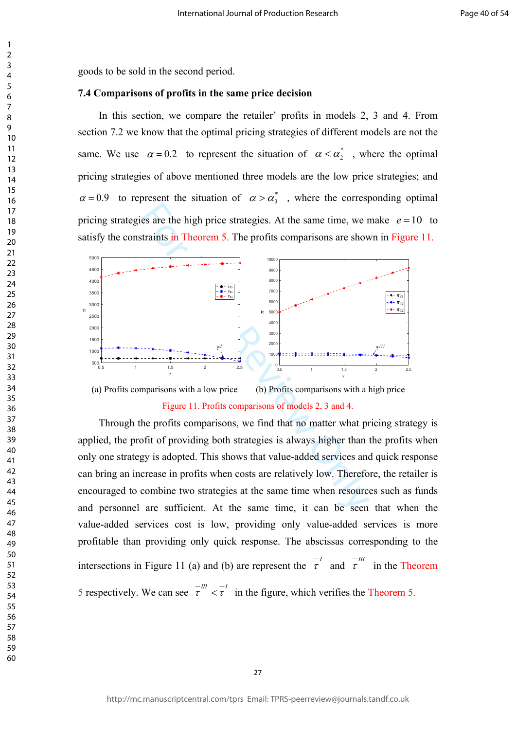$\mathbf{1}$ 

goods to be sold in the second period.

## **7.4 Comparisons of profits in the same price decision**

In this section, we compare the retailer' profits in models 2, 3 and 4. From section 7.2 we know that the optimal pricing strategies of different models are not the same. We use  $\alpha = 0.2$  to represent the situation of  $\alpha < \alpha_2^*$ , where the optimal pricing strategies of above mentioned three models are the low price strategies; and  $\alpha = 0.9$  to represent the situation of  $\alpha > \alpha_3^*$ , where the corresponding optimal pricing strategies are the high price strategies. At the same time, we make  $e = 10$  to satisfy the constraints in Theorem 5. The profits comparisons are shown in Figure 11.



Figure 11. Profits comparisons of models 2, 3 and 4.

Through the profits comparisons, we find that no matter what pricing strategy is applied, the profit of providing both strategies is always higher than the profits when only one strategy is adopted. This shows that value-added services and quick response can bring an increase in profits when costs are relatively low. Therefore, the retailer is encouraged to combine two strategies at the same time when resources such as funds and personnel are sufficient. At the same time, it can be seen that when the value-added services cost is low, providing only value-added services is more profitable than providing only quick response. The abscissas corresponding to the intersections in Figure 11 (a) and (b) are represent the  $\tau$ <sup>*II*</sup> and  $\tau$ <sup>III</sup> in the Theorem 5 respectively. We can see  $\tau$ <sup>-*III*</sup>  $\langle \tau \rangle$  in the figure, which verifies the Theorem 5.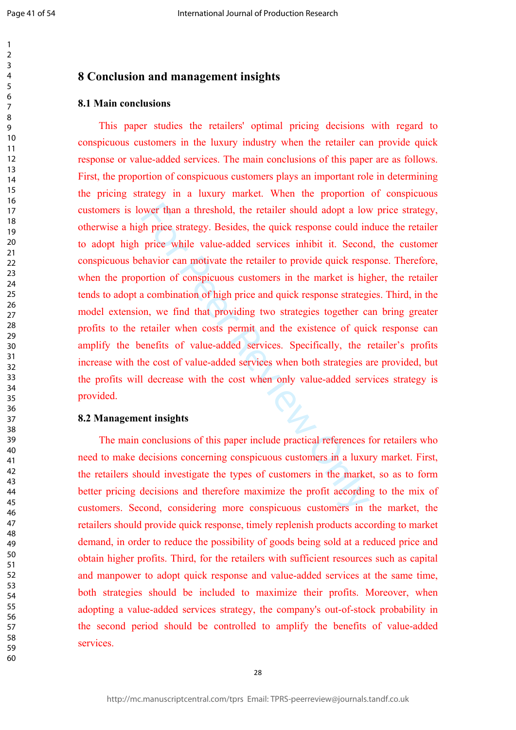$\mathbf{1}$  $\overline{2}$  $\overline{3}$  $\overline{4}$ 5 6  $\overline{7}$ 8  $\mathsf{o}$ 

# **8 Conclusion and management insights**

# **8.1 Main conclusions**

of the retailer should adopt a low<br>th price strategy. Besides, the quick response could in<br>price while value-added services inhibit it. Second<br>havior can motivate the retailer to provide quick resp<br>ortion of conspicuous cu This paper studies the retailers' optimal pricing decisions with regard to conspicuous customers in the luxury industry when the retailer can provide quick response or value-added services. The main conclusions of this paper are as follows. First, the proportion of conspicuous customers plays an important role in determining the pricing strategy in a luxury market. When the proportion of conspicuous customers is lower than a threshold, the retailer should adopt a low price strategy, otherwise a high price strategy. Besides, the quick response could induce the retailer to adopt high price while value-added services inhibit it. Second, the customer conspicuous behavior can motivate the retailer to provide quick response. Therefore, when the proportion of conspicuous customers in the market is higher, the retailer tends to adopt a combination of high price and quick response strategies. Third, in the model extension, we find that providing two strategies together can bring greater profits to the retailer when costs permit and the existence of quick response can amplify the benefits of value-added services. Specifically, the retailer's profits increase with the cost of value-added services when both strategies are provided, but the profits will decrease with the cost when only value-added services strategy is provided.

#### **8.2 Management insights**

The main conclusions of this paper include practical references for retailers who need to make decisions concerning conspicuous customers in a luxury market. First, the retailers should investigate the types of customers in the market, so as to form better pricing decisions and therefore maximize the profit according to the mix of customers. Second, considering more conspicuous customers in the market, the retailers should provide quick response, timely replenish products according to market demand, in order to reduce the possibility of goods being sold at a reduced price and obtain higher profits. Third, for the retailers with sufficient resources such as capital and manpower to adopt quick response and value-added services at the same time, both strategies should be included to maximize their profits. Moreover, when adopting a value-added services strategy, the company's out-of-stock probability in the second period should be controlled to amplify the benefits of value-added services.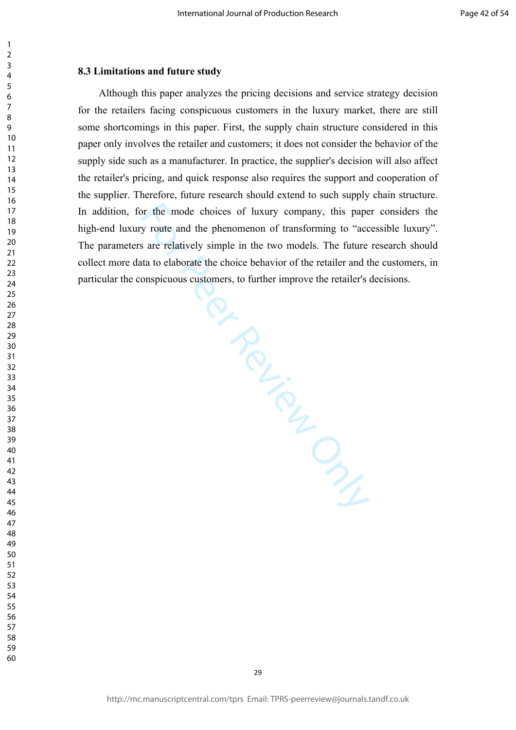## **8.3 Limitations and future study**

 $\mathbf{1}$  $\overline{2}$  $\overline{3}$  $\overline{4}$  $\overline{7}$ 

For Prince Review Only Although this paper analyzes the pricing decisions and service strategy decision for the retailers facing conspicuous customers in the luxury market, there are still some shortcomings in this paper. First, the supply chain structure considered in this paper only involves the retailer and customers; it does not consider the behavior of the supply side such as a manufacturer. In practice, the supplier's decision will also affect the retailer's pricing, and quick response also requires the support and cooperation of the supplier. Therefore, future research should extend to such supply chain structure. In addition, for the mode choices of luxury company, this paper considers the high-end luxury route and the phenomenon of transforming to "accessible luxury". The parameters are relatively simple in the two models. The future research should collect more data to elaborate the choice behavior of the retailer and the customers, in particular the conspicuous customers, to further improve the retailer's decisions.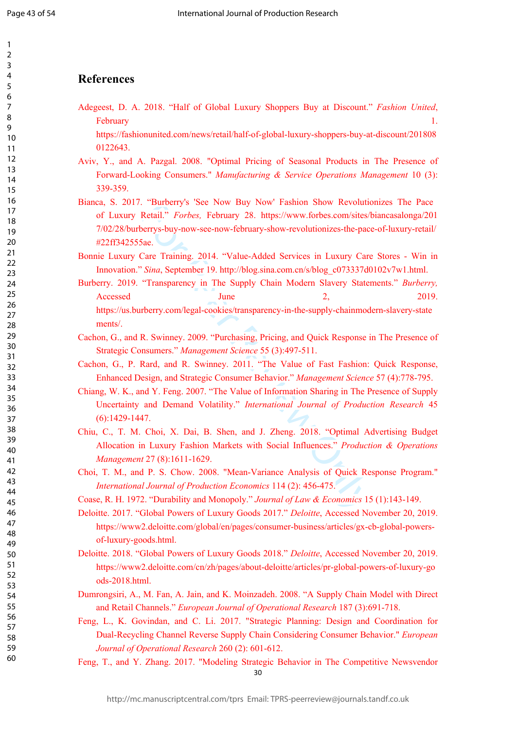$\mathbf{1}$  $\overline{2}$  $\overline{3}$  $\overline{4}$ 5 6  $\overline{7}$ 8 9

# **References**

Adegeest, D. A. 2018. "Half of Global Luxury Shoppers Buy at Discount." *Fashion United*, February 1.

https://fashionunited.com/news/retail/half-of-global-luxury-shoppers-buy-at-discount/201808 0122643.

- Aviv, Y., and A. Pazgal. 2008. "Optimal Pricing of Seasonal Products in The Presence of Forward-Looking Consumers." *Manufacturing & Service Operations Management* 10 (3): 339-359.
- Bianca, S. 2017. "Burberry's 'See Now Buy Now' Fashion Show Revolutionizes The Pace of Luxury Retail." *Forbes,* February 28. https://www.forbes.com/sites/biancasalonga/201 7/02/28/burberrys-buy-now-see-now-february-show-revolutionizes-the-pace-of-luxury-retail/ #22ff342555ae.
- Bonnie Luxury Care Training. 2014. "Value-Added Services in Luxury Care Stores Win in Innovation." *Sina*, September 19. [http://blog.sina.com.cn/s/blog\\_c073337d0102v7w1.html.](http://blog.sina.com.cn/s/blog_c073337d0102v7w1.html)
- Example 18 Sec Frow Buy Now Tashion Show economic<br>Retail." *Forbes,* February 28. https://www.forbes.com/sites/<br>Sec. Sec From Sec-Prove-February-show-revolutionizes-the-pace<br>Sae.<br>Care Training. 2014. "Value-Added Services Burberry. 2019. "Transparency in The Supply Chain Modern Slavery Statements." *Burberry,* Accessed June 2, 2019. https://us.burberry.com/legal-cookies/transparency-in-the-supply-chainmodern-slavery-state ments/.
- Cachon, G., and R. Swinney. 2009. "Purchasing, Pricing, and Quick Response in The Presence of Strategic Consumers." *Management Science* 55 (3):497-511.
- Cachon, G., P. Rard, and R. Swinney. 2011. "The Value of Fast Fashion: Quick Response, Enhanced Design, and Strategic Consumer Behavior." *Management Science* 57 (4):778-795.
- Chiang, W. K., and Y. Feng. 2007. "The Value of Information Sharing in The Presence of Supply Uncertainty and Demand Volatility." *International Journal of Production Research* 45 (6):1429-1447.
- Chiu, C., T. M. Choi, X. Dai, B. Shen, and J. Zheng. 2018. "Optimal Advertising Budget Allocation in Luxury Fashion Markets with Social Influences." *Production & Operations Management* 27 (8):1611-1629.
- Choi, T. M., and P. S. Chow. 2008. "Mean-Variance Analysis of Quick Response Program." *International Journal of Production Economics* 114 (2): 456-475.
- Coase, R. H. 1972. "Durability and Monopoly." *Journal of Law & Economics* 15 (1):143-149.
- Deloitte. 2017. "Global Powers of Luxury Goods 2017." *Deloitte*, Accessed November 20, 2019. https://www2.deloitte.com/global/en/pages/consumer-business/articles/gx-cb-global-powersof-luxury-goods.html.
- Deloitte. 2018. "Global Powers of Luxury Goods 2018." *Deloitte*, Accessed November 20, 2019. https://www2.deloitte.com/cn/zh/pages/about-deloitte/articles/pr-global-powers-of-luxury-go ods-2018.html.
- Dumrongsiri, A., M. Fan, A. Jain, and [K. Moinzadeh](http://xueshu.baidu.com/s?wd=author%3A%28Kamran%20Moinzadeh%29%20P.O.%20Box%20353200%2C%20University%20of%20Washington%20Business%20School%2C%20Seattle%2C%20WA%2098195-3200%2C%20United%20States&tn=SE_baiduxueshu_c1gjeupa&ie=utf-8&sc_f_para=sc_hilight%3Dperson). 2008. "A Supply Chain Model with Direct and Retail Channels." *European Journal of Operational Research* 187 (3):691-718.
- Feng, L., K. Govindan, and C. Li. 2017. "Strategic Planning: Design and Coordination for Dual-Recycling Channel Reverse Supply Chain Considering Consumer Behavior." *European Journal of Operational Research* 260 (2): 601-612.
- 30 Feng, T., and Y. Zhang. 2017. "Modeling Strategic Behavior in The Competitive Newsvendor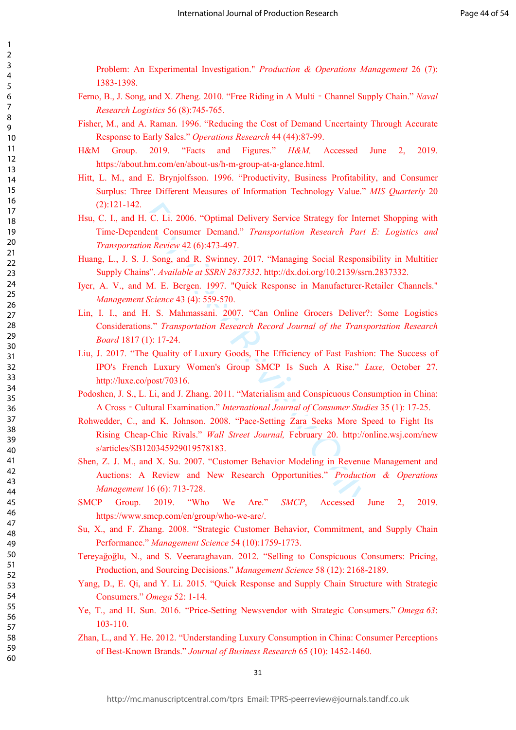Problem: An Experimental Investigation." *Production & Operations Management* 26 (7): 1383-1398.

- Ferno, B., J. Song, and X. Zheng. 2010. "Free Riding in A Multi ‐Channel Supply Chain." *Naval Research Logistics* 56 (8):745-765.
- Fisher, M., and A. Raman. 1996. "Reducing the Cost of Demand Uncertainty Through Accurate Response to Early Sales." *Operations Research* 44 (44):87-99.
- H&M Group. 2019. "Facts and Figures." *H&M,* Accessed June 2, 2019. https://about.hm.com/en/about-us/h-m-group-at-a-glance.html.
- Hitt, L. M., and E. Brynjolfsson. 1996. "Productivity, Business Profitability, and Consumer Surplus: Three Different Measures of Information Technology Value." *MIS Quarterly* 20 (2):121-142.
- Hsu, C. I., and H. C. Li. 2006. "Optimal Delivery Service Strategy for Internet Shopping with Time-Dependent Consumer Demand." *Transportation Research Part E: Logistics and Transportation Review* 42 (6):473-497.
- Huang, L., J. S. J. Song, and R. Swinney. 2017. "Managing Social Responsibility in Multitier Supply Chains". *Available at SSRN 2837332*. http://dx.doi.org/10.2139/ssrn.2837332.
- Iyer, A. V., and M. E. Bergen. 1997. "Quick Response in Manufacturer-Retailer Channels." *Management Science* 43 (4): 559-570.
- Lin, I. I., and H. S. Mahmassani. 2007. "Can Online Grocers Deliver?: Some Logistics Considerations." *Transportation Research Record Journal of the Transportation Research Board* 1817 (1): 17-24.
- Liu, J. 2017. "The Quality of Luxury Goods, The Efficiency of Fast Fashion: The Success of IPO's French Luxury Women's Group SMCP Is Such A Rise." *Luxe,* October 27. <http://luxe.co/post/70316>.
- Podoshen, J. S., L. Li, and J. Zhang. 2011. "Materialism and Conspicuous Consumption in China: A Cross ‐Cultural Examination." *International Journal of Consumer Studies* 35 (1): 17-25.
- Rohwedder, C., and K. Johnson. 2008. "Pace-Setting Zara Seeks More Speed to Fight Its Rising Cheap-Chic Rivals." *Wall Street Journal,* February 20. http://online.wsj.com/new s/articles/SB120345929019578183.
- For C. Li. 2006. "Optimal Delivery Service Strategy for Internation Research Part<br>
ion Review 42 (6):473-497.<br>
J. Song, and R. Swinney. 2017. "Managing Social Response." Available at SSRN 2837332. http://dx.doi.org/10.2139 Shen, Z. J. M., and X. Su. 2007. "Customer Behavior Modeling in Revenue Management and Auctions: A Review and New Research Opportunities." *Production & Operations Management* 16 (6): 713-728.
- SMCP Group. 2019. "Who We Are." *SMCP*, Accessed June 2, 2019. https://www.smcp.com/en/group/who-we-are/.
- Su, X., and F. Zhang. 2008. "Strategic Customer Behavior, Commitment, and Supply Chain Performance." *Management Science* 54 (10):1759-1773.
- Tereyağoğlu, N., and S. Veeraraghavan. 2012. "Selling to Conspicuous Consumers: Pricing, Production, and Sourcing Decisions." *Management Science* 58 (12): 2168-2189.
- Yang, D., E. Qi, and Y. Li. 2015. "Quick Response and Supply Chain Structure with Strategic Consumers." *Omega* 52: 1-14.
- Ye, T., and H. Sun. 2016. "Price-Setting Newsvendor with Strategic Consumers." *Omega 63*: 103-110.
- Zhan, L., and Y. He. 2012. "Understanding Luxury Consumption in China: Consumer Perceptions of Best-Known Brands." *Journal of Business Research* 65 (10): 1452-1460.

123456789

 $\mathbf{1}$  $\overline{2}$  $\overline{3}$  $\overline{4}$ 5 6  $\overline{7}$ 8 9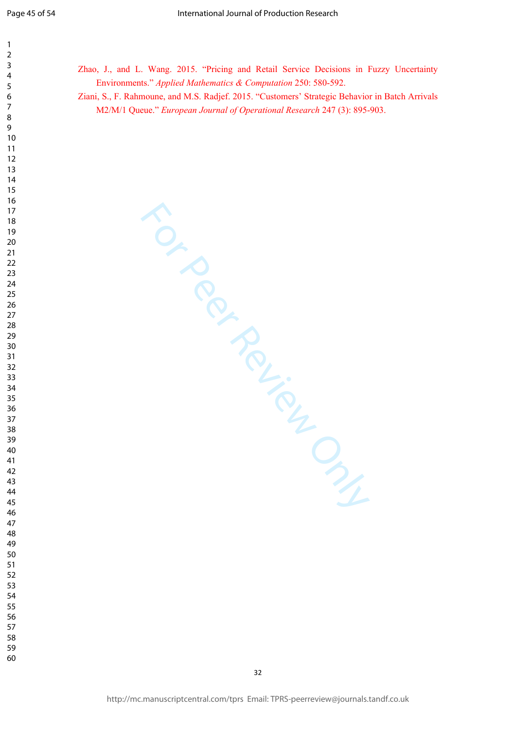$\mathbf{1}$ 

> 

Zhao, J., and L. Wang. 2015. "Pricing and Retail Service Decisions in Fuzzy Uncertainty Environments." *Applied Mathematics & Computation* 250: 580-592.

Ziani, S., F. Rahmoune, and M.S. Radjef. 2015. "Customers' Strategic Behavior in Batch Arrivals M2/M/1 Queue." *European Journal of Operational Research* 247 (3): 895-903.

For Per Review Only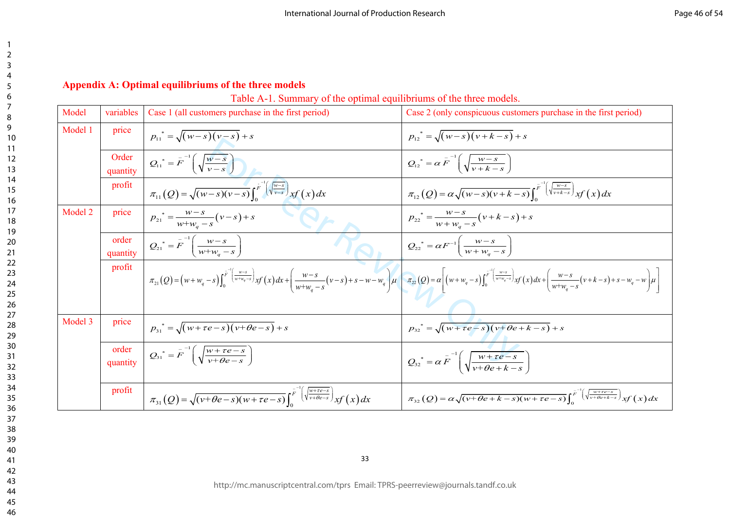# **Appendix A: Optimal equilibriums of the three models**

| Table A-1. Summary of the optimal equilibriums of the three models. |  |
|---------------------------------------------------------------------|--|
|---------------------------------------------------------------------|--|

| Model   | variables         | Case 1 (all customers purchase in the first period)                                                                                                        | Case 2 (only conspicuous customers purchase in the first period)                                                                                                                                                                                                                                                                                                                                   |
|---------|-------------------|------------------------------------------------------------------------------------------------------------------------------------------------------------|----------------------------------------------------------------------------------------------------------------------------------------------------------------------------------------------------------------------------------------------------------------------------------------------------------------------------------------------------------------------------------------------------|
| Model 1 | price             | $p_{11}^* = \sqrt{(w-s)(v-s)} + s$                                                                                                                         | $p_{12}^* = \sqrt{(w-s)(v+k-s)} + s$                                                                                                                                                                                                                                                                                                                                                               |
|         | Order<br>quantity | $Q_{11}^* = F^{-1} \left( \sqrt{\frac{w-s}{v-s}} \right)$                                                                                                  | $Q_{12}^* = \alpha \overline{F}^{-1} \left( \sqrt{\frac{w-s}{v+k-s}} \right)$                                                                                                                                                                                                                                                                                                                      |
|         | profit            | $\pi_{11}(Q) = \sqrt{(w-s)(v-s)} \int_{0}^{r^{-1}(\sqrt{\frac{w-s}{v-s}})} xf(x) dx$                                                                       | $\pi_{12}(Q) = \alpha \sqrt{(w-s)(v+k-s)} \int_{0}^{\overline{F}^{-1}(\sqrt{\frac{w-s}{v+k-s}})} x f(x) dx$                                                                                                                                                                                                                                                                                        |
| Model 2 | price             | $p_{21}^* = \frac{w-s}{w+w_a-s}(v-s)+s$                                                                                                                    | $p_{22}^* = \frac{W-S}{W+W_c-S}(v+k-s)+s$                                                                                                                                                                                                                                                                                                                                                          |
|         | order<br>quantity | $Q_{21}^* = F^{-1} \left( \frac{w - s}{w + w_a - s} \right)$                                                                                               | $Q_{22}^* = \alpha F^{-1} \left( \frac{w - s}{w + w_a - s} \right)$                                                                                                                                                                                                                                                                                                                                |
|         | profit            |                                                                                                                                                            | $\pi_{21}(Q) = \left(w+w_q-s\right)\int_0^{\bar{F}^{-1}\left(\frac{w-s}{w+w_q-s}\right)} xf(x) dx + \left(\frac{w-s}{w+w_a-s}\left(v-s\right)+s-w-w_q\right) \mu \left[\begin{array}{c} \pi_{22}(Q) = \alpha \left[\left(w+w_q-s\right)\int_0^{\bar{F}^{-1}\left(\frac{w-s}{w+w_q-s}\right)} xf(x) dx + \left(\frac{w-s}{w+w_a-s}\left(v+k-s\right)+s-w_q-w\right) \mu \right] \right] dx \right]$ |
| Model 3 | price             | $p_{31}^* = \sqrt{(w + \tau e - s)(v + \theta e - s)} + s$                                                                                                 | $p_{32}^* = \sqrt{(w + \tau e - s)(v + \theta e + k - s)} + s$                                                                                                                                                                                                                                                                                                                                     |
|         | order<br>quantity | $Q_{31}^* = F^{-1}\left(\sqrt{\frac{w+\tau e-s}{v+\theta e-s}}\right)$                                                                                     | $Q_{32}^* = \alpha \overline{F}^{-1} \left( \sqrt{\frac{w + \tau e - s}{v + \theta e + k - s}} \right)$                                                                                                                                                                                                                                                                                            |
|         | profit            | $\pi_{31}(Q) = \sqrt{(v + \theta e - s)(w + \tau e - s)} \int_{0}^{\overline{F}^{-1}\left(\sqrt{\frac{w + \tau e - s}{v + \theta e - s}}\right)} xf(x) dx$ | $\pi_{32}(Q) = \alpha \sqrt{(v + \theta e + k - s)(w + \tau e - s)} \int_{c}^{\overline{F}^{-1}(\sqrt{\frac{w + \tau e - s}{v + \theta e + k - s}})} xf(x) dx$                                                                                                                                                                                                                                     |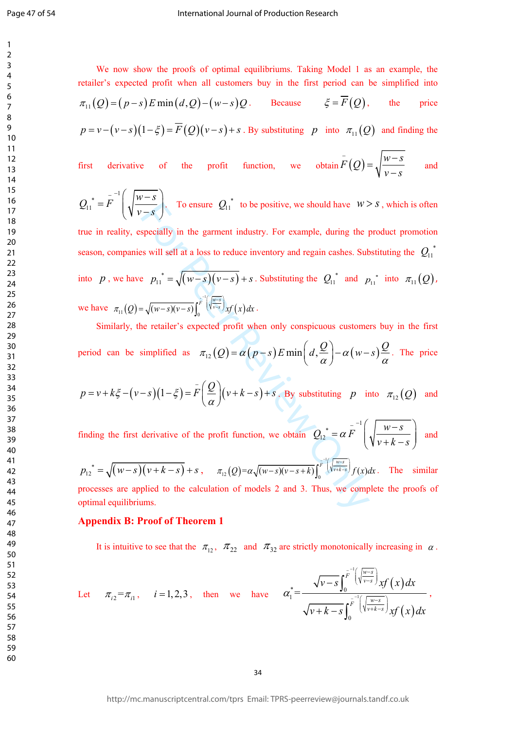$\mathbf{1}$ 

We now show the proofs of optimal equilibriums. Taking Model 1 as an example, the retailer's expected profit when all customers buy in the first period can be simplified into  $\pi_{11}(Q) = (p-s)E \min(d,Q) - (w-s)Q$ . Because  $\xi = \overline{F}(Q)$ , the price  $p = v - (v - s)(1 - \xi) = \overline{F}(Q)(v - s) + s$ . By substituting p into  $\pi_{11}(Q)$  and finding the

first derivative of the profit function, we obtain 
$$
\overline{F}(Q) = \sqrt{\frac{w-s}{v-s}}
$$
 and

$$
Q_{11}^* = \overline{F}^{-1} \left( \sqrt{\frac{w-s}{v-s}} \right)
$$
. To ensure  $Q_{11}^*$  to be positive, we should have  $w > s$ , which is often

 $\overline{f-s}$  For ensure  $Q_{11}$  to be positive, we should have  $W >$ <br>specially in the garment industry. For example, during the p<br>swill sell at a loss to reduce inventory and regain cashes. Sub-<br> $P_{11}^* = \sqrt{(w-s)(v-s)} \int_0^{\frac{1}{p}}$ true in reality, especially in the garment industry. For example, during the product promotion season, companies will sell at a loss to reduce inventory and regain cashes. Substituting the  $Q_{11}^*$ into p, we have  $p_{11}^* = \sqrt{(w-s)(v-s)} + s$ . Substituting the  $Q_{11}^*$  and  $p_{11}^*$  into  $\pi_{11}(Q)$ . we have  $\pi_{11}(Q) = \sqrt{(w-s)(v-s)} \int_{s}^{r^{-1} \left(\sqrt{w-s}\right)} xf(x) dx$ .

Similarly, the retailer's expected profit when only conspicuous customers buy in the first period can be simplified as  $\pi_{12}(Q) = \alpha(p-s)E \min\left(d, \frac{Q}{\alpha}\right) - \alpha(w-s)\frac{Q}{\alpha}$ . The price

$$
p = v + k\xi - (v - s)(1 - \xi) = F\left(\frac{Q}{\alpha}\right)(v + k - s) + s.
$$
 By substituting  $p$  into  $\pi_{12}(Q)$  and

finding the first derivative of the profit function, we obtain  $Q_{12}^* = \alpha \overline{F}^{-1} \left( \sqrt{\frac{w-s}{v+k-s}} \right)$  and

 $p_{12}^* = \sqrt{(w-s)(v+k-s)} + s$ ,  $\pi_{12}(Q) = \alpha \sqrt{(w-s)(v-s+k)} \int_{0}^{1} \left(\sqrt{w-s/(w-s)} + s\right) f(x) dx$ . The similar processes are applied to the calculation of models 2 and 3. Thus, we complete the proofs of optimal equilibriums.

## **Appendix B: Proof of Theorem 1**

It is intuitive to see that the  $\pi_{12}$ ,  $\pi_{22}$  and  $\pi_{32}$  are strictly monotonically increasing in  $\alpha$ .

Let 
$$
\pi_{i2} = \pi_{i1}
$$
,  $i = 1, 2, 3$ , then we have  $\alpha_{1}^{*} = \frac{\sqrt{v - s} \int_{0}^{\bar{F}^{-1}(\sqrt{\frac{w - s}{v - s}})} xf(x) dx}{\sqrt{v + k - s} \int_{0}^{\bar{F}^{-1}(\sqrt{\frac{w - s}{v + k - s}})} xf(x) dx}$ ,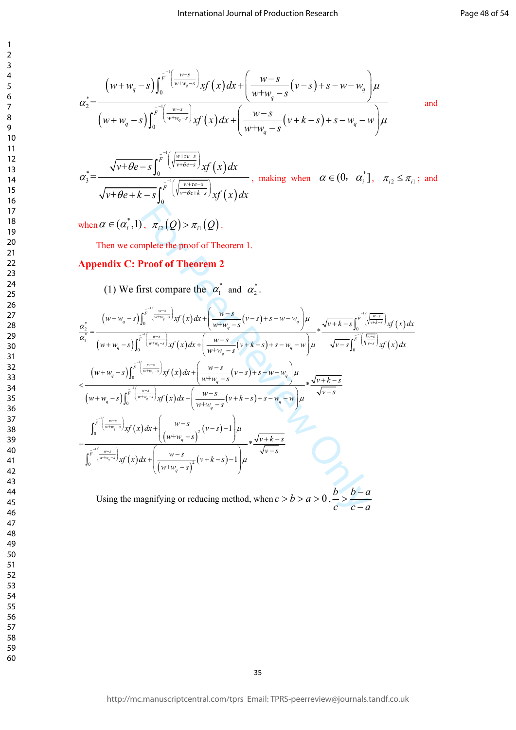$$
\alpha_{2}^{*} = \frac{\left(w + w_{q} - s\right) \int_{0}^{\overline{F}} \left(\frac{w - s}{w + w_{q} - s}\right) x f(x) dx + \left(\frac{w - s}{w + w_{q} - s} \left(v - s\right) + s - w - w_{q}\right) \mu}{\left(w + w_{q} - s\right) \int_{0}^{\overline{F}} \left(\frac{w - s}{w + w_{q} - s}\right) x f(x) dx + \left(\frac{w - s}{w + w_{q} - s} \left(v + k - s\right) + s - w_{q} - w\right) \mu}
$$
 and

 $\alpha_3^* = \frac{\sqrt{v + \theta e - s} \int_0^{\overline{F}^{-1} \left( \sqrt{\frac{w + \tau e - s}{v + \theta e}} \right)} xf(x) dx}{\sqrt{v + \theta e + k - s} \int_0^{\overline{F}^{-1} \left( \sqrt{\frac{w + \tau e - s}{v + \theta e + k - s}} \right)} xf(x) dx}$ , making when  $\alpha \in (0, \alpha_i^*], \ \pi_{i_2} \le \pi_{i_1};$  and

when  $\alpha \in (\alpha_i^*, 1)$ ,  $\pi_{i2}(Q) > \pi_{i1}(Q)$ .

 $\mathbf{1}$  $\overline{2}$  $\overline{\mathbf{3}}$  $\overline{4}$ 

Then we complete the proof of Theorem 1.

# **Appendix C: Proof of Theorem 2**

(1) We first compare the  $\alpha_1^*$  and  $\alpha_2^*$ .

when 
$$
\alpha \in (\alpha_i^*, 1)
$$
,  $\pi_{i2}(Q) > \pi_{i1}(Q)$ .  
\nThen we complete the proof of Theorem 1.  
\nAppendix C: Proof of Theorem 2  
\n(1) We first compare the  $\alpha_1^*$  and  $\alpha_2^*$ .  
\n
$$
\frac{\alpha_2^*}{\alpha_1^*} = \frac{(w+w_i-s)\int_0^{\frac{s}{r} \left(\frac{w-s}{w+w_i-s}\right)} yf(x) dx + \left(\frac{w-s}{w+w_i-s}(v-s) + s - w - w_q\right) \mu}{(w+w_i-s)\int_0^{\frac{s}{r} \left(\frac{w-s}{w+w_i-s}\right)} yf(x) dx + \left(\frac{w-s}{w+w_i-s}(v-s) + s - w - w_q\right) \mu} \times \frac{\sqrt{v+k-s}\int_0^{\frac{s}{r} \left(\frac{w-s}{w+w_i-s}\right)} yf(x) dx}{\sqrt{v-s}\int_0^{\frac{s}{r} \left(\frac{w-s}{w+s}\right)} yf(x) dx}
$$
\n
$$
< \frac{(w+w_i-s)\int_0^{\frac{s}{r} \left(\frac{w-s}{w+w_i-s}\right)} yf(x) dx + \left(\frac{w-s}{w+w_i-s}(v-s) + s - w - w_q\right) \mu}{w+w_i-s} \times \frac{\sqrt{v+k-s}}{\sqrt{v-s}}
$$
\n
$$
< \frac{v+w_i-s}{v+w_i-s}\int_0^{\frac{s}{r} \left(\frac{w-s}{w+w_i-s}\right)} yf(x) dx + \left(\frac{w-s}{w+w_i-s}(v-s) + s - w - w_q\right) \mu} \times \frac{\sqrt{v+k-s}}{\sqrt{v-s}}
$$
\n
$$
= \frac{\int_0^{\frac{s}{r} \left(\frac{w-s}{w+w_i-s}\right)} yf(x) dx + \left(\frac{w-s}{(w+w_i-s)^2}(v-s) - 1\right) \mu}{\left(\frac{w-s}{w+w_i-s}\right)} \times \frac{\sqrt{v+k-s}}{\sqrt{v-s}}
$$
\nUsing the magnifying or reducing method, when  $c > b > a > 0$ ,  $\frac{b}{c} > \frac{b-a}{c-a}$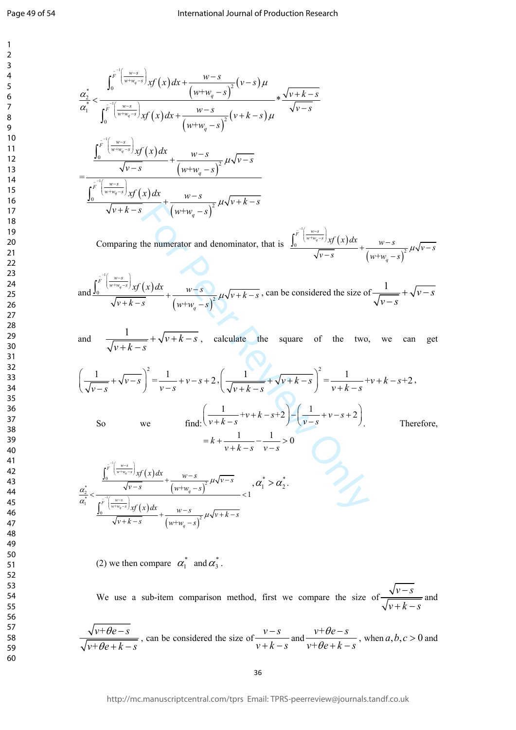$$
\frac{a_{3}^{2}}{a_{1}^{2}} < \frac{\int_{0}^{\sqrt{y} \left(\frac{w}{\sqrt{w_{3}}-y}\right)} \frac{\sqrt{y}}{\sqrt{y}\left(x\right)} dx + \frac{w-s}{\sqrt{w-s}-y^{2}} (v-s) \mu}{\sqrt{w-s}}
$$
\n
$$
= \frac{\int_{0}^{\sqrt{y} \left(\frac{w}{\sqrt{w-s}-y}\right)} \frac{\sqrt{y}}{\sqrt{y}\left(x\right)} dx + \frac{w-s}{\sqrt{w+s}-y^{2}} (\sqrt{w+s}-y) \mu \sqrt{v-s}}{\sqrt{w-s}}
$$
\n
$$
= \frac{\int_{0}^{\sqrt{y} \left(\frac{w}{\sqrt{w-s}-y}\right)} \frac{\sqrt{y}\left(x\right) dx}{\sqrt{y\left(x\right)} + \frac{w-s}{\sqrt{w-s}-y^{2}} \mu \sqrt{y-s}}}{\sqrt{w+k}-y} \frac{\sqrt{w+s}-y}{\sqrt{w+s}-y^{2}} \mu \sqrt{y-k}-z}
$$
\nComparing the numerator and denominator, that is\n
$$
\frac{\int_{0}^{\sqrt{y} \left(\frac{w}{\sqrt{w-s}-y}\right)} \frac{\sqrt{y}}{\sqrt{y}\left(x\right)} dx}{\sqrt{y\left(x\right)} + \frac{w-s}{\sqrt{y\left(x\right)} + \frac{w-s}{\sqrt{y\left(x\right)} + \frac{w-s}{\sqrt{y\left(x\right)} + \frac{w-s}{\sqrt{y\left(x\right)} + \frac{w-s}{\sqrt{y\left(x\right)} + \frac{w-s}{\sqrt{y\left(x\right)} + \frac{w-s}{\sqrt{y\left(x\right)} + \frac{w-s}{\sqrt{y\left(x\right)} + \frac{w-s}{\sqrt{y\left(x\right)} + \frac{w-s}{\sqrt{y\left(x\right)} + \frac{w-s}{\sqrt{y\left(x\right)} + \frac{w-s}{\sqrt{y\left(x\right)} + \frac{w-s}{\sqrt{y\left(x\right)} + \frac{w-s}{\sqrt{y\left(x\right)} + \frac{w-s}{\sqrt{y\left(x\right)} + \frac{w-s}{\sqrt{y\left(x\right)} + \frac{w-s}{\sqrt{y\left(x\right)} + \frac{w-s}{\sqrt{y\left(x\right)} + \frac{w-s}{\sqrt{y\left(x\right)} + \frac{w-s}{\sqrt{y\left(x\right)} + \frac{w-s}{\sqrt{y\left(x\right)} + \
$$

Comparing the numerator and denominator, that is  $\frac{\int_0^{+\sqrt{w+w_q-s}} x f(x) dx}{\sqrt{w-s}} + \frac{w-s}{\sqrt{w-s}}$  $\frac{\int_{0}^{\overline{F}^{-1} \left(\frac{w-s}{w+w_q-s}\right)} xf(x) dx}{\sqrt{v-s}} + \frac{w-s}{\left(w+w_q-s\right)^2} \mu \sqrt{v-s}$ 

and 
$$
\frac{\int_0^{\overline{F}^{-1}\left(\frac{w-s}{w+w_q-s}\right)}xf(x)dx}{\sqrt{v+k-s}} + \frac{w-s}{\left(w+w_q-s\right)^2} \mu\sqrt{v+k-s}
$$
, can be considered the size of  $\frac{1}{\sqrt{v-s}} + \sqrt{v-s}$ 

and  $\frac{1}{\sqrt{v+k-s}} + \sqrt{v+k-s}$ , calculate the square of the two, we can get

$$
\left(\frac{1}{\sqrt{v-s}} + \sqrt{v-s}\right)^2 = \frac{1}{v-s} + v-s+2, \left(\frac{1}{\sqrt{v+k-s}} + \sqrt{v+k-s}\right)^2 = \frac{1}{v+k-s} + v+k-s+2,
$$
  
So we find: 
$$
\left(\frac{1}{v+k-s} + v+k-s+2\right) - \left(\frac{1}{v-s} + v-s+2\right).
$$
 Therefore,
$$
= k + \frac{1}{v+k-s} - \frac{1}{v-s} > 0
$$

$$
\sqrt{v+k-s} \qquad (w+w_q-s)^2 \mu \sqrt{v+k-s}
$$
\nComparing the numerator and denominator, that is\n
$$
\frac{\int_0^{\overline{r}^{-1} \left(\frac{w-s}{w+w_q-s}\right)} x f(x) dx}{\sqrt{v-s}} + \frac{w-s}{(w+w_q-s)^2} \mu \sqrt{v+k-s}
$$
\nand\n
$$
\frac{\int_0^{\overline{r}^{-1} \left(\frac{w-s}{w+w_q-s}\right)} x f(x) dx}{\sqrt{v+k-s}} + \frac{w-s}{(w+w_q-s)^2} \mu \sqrt{v+k-s}
$$
\ncalculated the square of the two, we can\n
$$
\left(\frac{1}{\sqrt{v-s}} + \sqrt{v-s}\right)^2 = \frac{1}{v-s} + v-s+2, \left(\frac{1}{\sqrt{v+k-s}} + \sqrt{v+k-s}\right)^2 = \frac{1}{v+k-s} + v+k-s+2,
$$
\nSo we find:\n
$$
\left(\frac{1}{v+k-s} + v+s-s+2\right) - \left(\frac{1}{v-s} + v-s+2\right)
$$
\n
$$
= k + \frac{1}{v+k-s} - \frac{1}{v-s} > 0
$$
\n
$$
\frac{a_2^*}{a_1^*} < \frac{\int_0^{\overline{r}^{-1} \left(\frac{w-s}{w+w_q-s}\right)} x f(x) dx}{\sqrt{v+s-s}} + \frac{w-s}{(w+w_q-s)^2} \mu \sqrt{v+s}}{v+k-s}
$$
\n
$$
= 1
$$

(2) we then compare  $\alpha_1^*$  and  $\alpha_3^*$ .

We use a sub-item comparison method, first we compare the size of  $\frac{\sqrt{v-s}}{\sqrt{v+k-c}}$  and

 $\frac{\sqrt{v+\theta e-s}}{\sqrt{v+\theta e+k-s}}$ , can be considered the size of  $\frac{v-s}{v+k-s}$  and  $\frac{v+\theta e-s}{v+\theta e+k-s}$ , when  $a,b,c>0$  and

http://mc.manuscriptcentral.com/tprs Email: TPRS-peerreview@journals.tandf.co.uk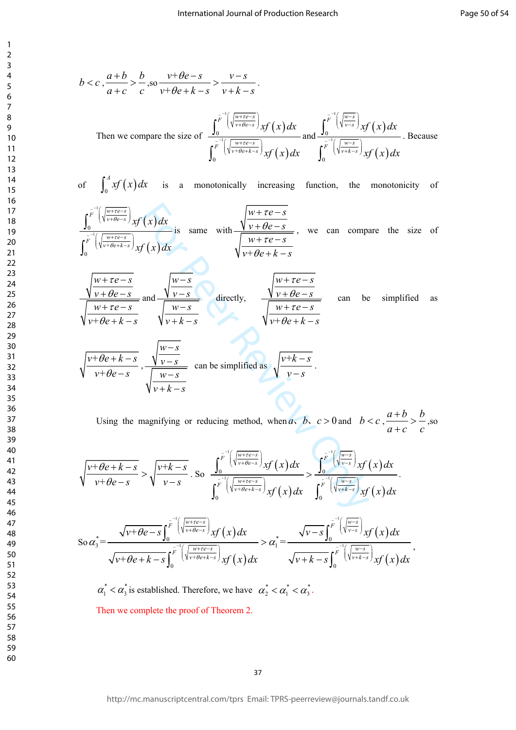$$
b < c, \frac{a+b}{a+c} > \frac{b}{c}, \text{ so } \frac{v+be-s}{v+be+k-s} > \frac{v-s}{v+k-s}.
$$
\n
$$
\text{Then we compare the size of } \frac{\int_0^{\frac{r}{b}} \left( \sqrt{\frac{w+te-s}{v+be-s}} \right) x f(x) dx}{\int_0^{\frac{r}{b}} \left( \sqrt{\frac{w+te-s}{v+be+k-s}} \right) x f(x) dx} \text{ and } \frac{\int_0^{\frac{r}{b}} \left( \sqrt{\frac{w-s}{v-s}} \right) x f(x) dx}{\int_0^{\frac{r}{b}} \left( \sqrt{\frac{w-s}{v+ke+s}} \right) x f(x) dx}.
$$
\n
$$
\text{Because } \frac{\int_0^{\frac{r}{b}} \left( \sqrt{\frac{w+te-s}{v+be+k-s}} \right) x f(x) dx}{\int_0^{\frac{r}{b}} \left( \sqrt{\frac{w-s}{v+ke-s}} \right) x f(x) dx}.
$$

of 
$$
\int_0^A xf(x) dx
$$
 is a monotonically increasing function, the monotonicity of  
\n
$$
\int_0^{\frac{r}{F}^{-1}\left(\sqrt{\frac{w+re-s}{v+\theta e-s}}\right)} xf(x) dx
$$
\nis same with  $\frac{\sqrt{\frac{w+re-s}{v+\theta e-s}}}{\sqrt{\frac{w+re-s}{v+\theta e+k-s}}}$ , we can compare the size of  
\n
$$
\sqrt{\frac{w+re-s}{v+\theta e+k-s}}
$$
\n
$$
\sqrt{\frac{w+re-s}{v+\theta e+k-s}}
$$

$$
b < c, \frac{a+b}{a+c} > \frac{b}{c}, \frac{b}{w+c} = s
$$
\n
$$
\frac{b-a}{w+c} = \frac{b-a}{c}, \frac{b-a}{w+c} = s
$$
\nThen we compare the size of\n
$$
\int_{0}^{\pi} \left( \frac{\sqrt{b-a}}{\sqrt{b-a}x} \right) f(x) dx
$$
\n
$$
\int_{0}^{\pi} \left( \frac{\sqrt{b-a}}{\sqrt{b-a}x} \right) f(x) dx
$$
\n
$$
\int_{0}^{\pi} \left( \frac{\sqrt{b-a}}{\sqrt{b-a}x} \right) f(x) dx
$$
\n
$$
\int_{0}^{\pi} \left( \frac{\sqrt{b-a}}{\sqrt{b-a}x} \right) f(x) dx
$$
\n
$$
\int_{0}^{\pi} \left( \frac{\sqrt{b-a}x}{\sqrt{b-a}x} \right) f(x) dx
$$
\n
$$
\int_{0}^{\pi} \left( \frac{\sqrt{b-a}x}{\sqrt{b-a}x} \right) f(x) dx
$$
\n
$$
\int_{0}^{\pi} \left( \frac{\sqrt{b-a}x}{\sqrt{b-a}x} \right) f(x) dx
$$
\n
$$
\int_{0}^{\pi} \left( \frac{\sqrt{b-a}x}{\sqrt{b-a}x} \right) f(x) dx
$$
\n
$$
\int_{0}^{\pi} \left( \frac{\sqrt{b-a}x}{\sqrt{b-a}x} \right) f(x) dx
$$
\n
$$
\int_{0}^{\pi} \left( \frac{\sqrt{b-a}x}{\sqrt{b-a}x} \right) f(x) dx
$$
\n
$$
\int_{0}^{\pi} \left( \frac{\sqrt{b-a}x}{\sqrt{b-a}x} \right) f(x) dx
$$
\n
$$
\int_{0}^{\pi} \left( \frac{\sqrt{b-a}x}{\sqrt{b-a}x} \right) f(x) dx
$$
\n
$$
\int_{0}^{\pi} \left( \frac{\sqrt{b-a}x}{\sqrt{b-a}x} \right) f(x) dx
$$
\n
$$
\int_{0}^{\pi} \left( \frac{\sqrt{b-a}x}{\sqrt{b-a}x} \right) f(x) dx
$$
\n
$$
\int_{0}^{\pi} \left( \frac{\sqrt{b-a}x}{\sqrt{b-a}x} \right) f
$$

Using the magnifying or reducing method, when *a*, *b*, *c* > 0 and  $b < c$ ,  $\frac{a+b}{a+c} > \frac{b}{c}$ , so

$$
\sqrt{\frac{v+\theta e+k-s}{v+\theta e-s}}>\sqrt{\frac{v+k-s}{v-s}}.\text{ So }\frac{\int_0^{\overline{F}^{-1}\left(\sqrt{\frac{w+re-s}{v+\theta e-s}}\right)}xf(x)dx}{\int_0^{\overline{F}^{-1}\left(\sqrt{\frac{w+re-s}{v+\theta e+k-s}}\right)}xf(x)dx}<\frac{\int_0^{\overline{F}^{-1}\left(\sqrt{\frac{w-s}{v-s}}\right)}xf(x)dx}{\int_0^{\overline{F}^{-1}\left(\sqrt{\frac{w-s}{v+k-s}}\right)}xf(x)dx}.
$$

$$
\operatorname{So} \alpha_3^* = \frac{\sqrt{v + \theta e - s} \int_0^{\overline{F}^{-1} \left( \sqrt{\frac{w + re - s}{v + \theta e - s}} \right)} x f(x) dx}{\sqrt{v + \theta e + k - s} \int_0^{\overline{F}^{-1} \left( \sqrt{\frac{w + re - s}{v + \theta e + k - s}} \right)} x f(x) dx} > \alpha_1^* = \frac{\sqrt{v - s} \int_0^{\overline{F}^{-1} \left( \sqrt{\frac{w - s}{v - s}} \right)} x f(x) dx}{\sqrt{v + k - s} \int_0^{\overline{F}^{-1} \left( \sqrt{\frac{w - s}{v + k - s}} \right)} x f(x) dx},
$$

 $\alpha_1^* < \alpha_3^*$  is established. Therefore, we have  $\alpha_2^* < \alpha_1^* < \alpha_3^*$ . Then we complete the proof of Theorem 2.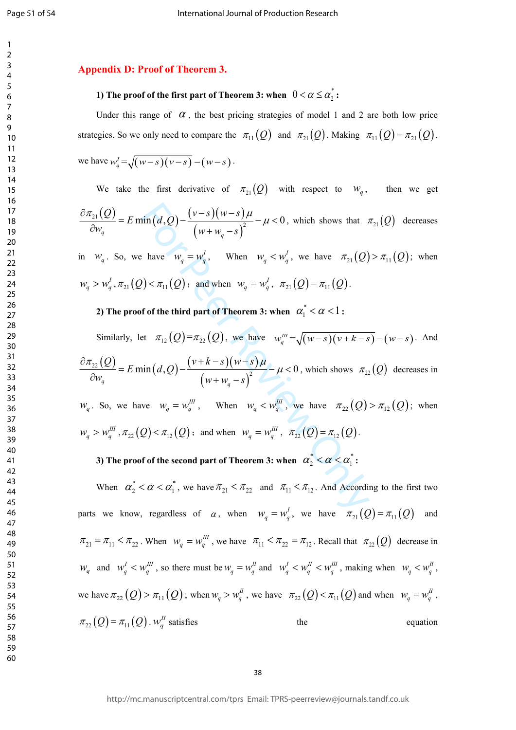#### **Appendix D: Proof of Theorem 3.**

# **1) The proof of the first part of Theorem 3: when**  $0 < \alpha \leq \alpha_2^*$  **:**

Under this range of  $\alpha$ , the best pricing strategies of model 1 and 2 are both low price strategies. So we only need to compare the  $\pi_{11}(Q)$  and  $\pi_{21}(Q)$ . Making  $\pi_{11}(Q) = \pi_{21}(Q)$ , we have  $w_a^j = \sqrt{(w-s)(v-s)} - (w-s)$ .

We take the first derivative of  $\pi_{21}(Q)$  with respect to  $w_q$ , then we get  $\frac{\partial \pi_{21}(Q)}{\partial w_q} = E \min\left(d, Q\right) - \frac{(v-s)(w-s)\mu}{(w+w_q-s)^2} - \mu < 0$ , which shows that  $\pi_{21}(Q)$  decreases

in  $W_q$ . So, we have  $W_q = W_q^I$ , When  $W_q < W_q^I$ , we have  $\pi_{21}(Q) > \pi_{11}(Q)$ ; when  $w_q > w_q^I$ ,  $\pi_{21}(Q) < \pi_{11}(Q)$ ; and when  $w_q = w_q^I$ ,  $\pi_{21}(Q) = \pi_{11}(Q)$ .

**2)** The proof of the third part of Theorem 3: when  $\alpha_1^* < \alpha < 1$ :

 $\sin(d, Q) - \frac{(v-s)(w-s)\mu}{(w+w_q-s)^2} - \mu < 0$ , which shows that  $\sinh(M, Q) - \frac{(v-s)(w-s)\mu}{(w+w_q-s)^2} - \mu < 0$ , when  $w_q \leq w'_q$ , we have  $\pi_{21}(Q)$ <br>  $P(\cos \pi_{11}(Q)) \leq \pi_{11}(Q)$ ; and when  $w_q = w'_q$ ,  $\pi_{21}(Q) = \pi_{11}(Q)$ .<br>
f of the third part of Theo Similarly, let  $\pi_{12}(Q) = \pi_{22}(Q)$ , we have  $w_a^{\mu\nu} = \sqrt{(w-s)(v+k-s)} - (w-s)$ . And  $\frac{\partial \pi_{22}(Q)}{\partial w_q} = E \min\left(d, Q\right) - \frac{\left(\nu + k - s\right)\left(w - s\right)\mu}{\left(w + w_q - s\right)^2} - \mu < 0$ , which shows  $\pi_{22}(Q)$  decreases in

 $w_q$ . So, we have  $w_q = w_q^{\text{III}}$ , When  $w_q < w_q^{\text{III}}$ , we have  $\pi_{22}(Q) > \pi_{12}(Q)$ ; when  $w_q > w_q^{\text{III}}$ ,  $\pi_{22}(Q) < \pi_{12}(Q)$ ; and when  $w_q = w_q^{\text{III}}$ ,  $\pi_{22}(Q) = \pi_{12}(Q)$ .

# **3**) The proof of the second part of Theorem 3: when  $\alpha_2^* < \alpha < \alpha_1^*$ :

When  $\alpha_2^* < \alpha < \alpha_1^*$ , we have  $\pi_{21} < \pi_{22}$  and  $\pi_{11} < \pi_{12}$ . And According to the first two parts we know, regardless of  $\alpha$ , when  $w_q = w_q^I$ , we have  $\pi_{21}(Q) = \pi_{11}(Q)$  and  $\pi_{21} = \pi_{11} < \pi_{22}$ . When  $w_a = w_a^{\mu\nu}$ , we have  $\pi_{11} < \pi_{22} = \pi_{12}$ . Recall that  $\pi_{22}(Q)$  decrease in  $W_q$  and  $W_q^I < W_q^{III}$ , so there must be  $W_q = W_q^I$  and  $W_q^I < W_q^{II} < W_q^{III}$ , making when  $W_q < W_q^I$ , we have  $\pi_{22}(Q) > \pi_{11}(Q)$ ; when  $w_q > w_q^H$ , we have  $\pi_{22}(Q) < \pi_{11}(Q)$  and when  $w_q = w_q^H$ ,  $\pi_{22}(Q) = \pi_{11}(Q)$ ,  $w_{2}^{H}$  satisfies the equation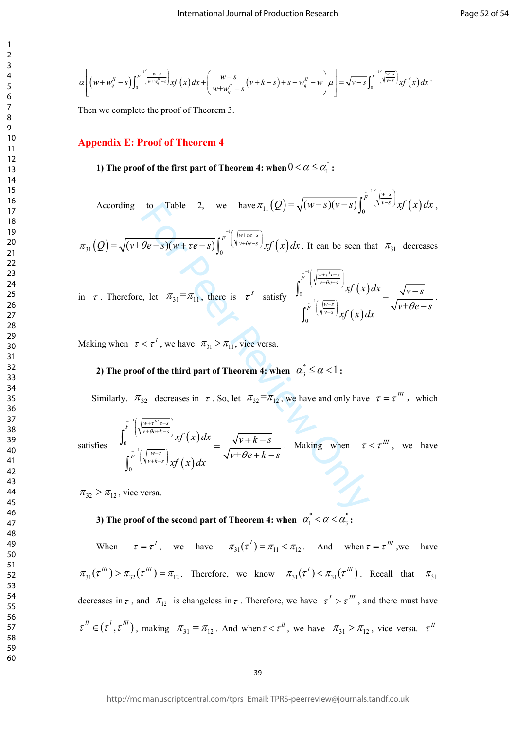$$
\alpha\left[\left(w+w_q^{\mu}-s\right)\int_0^{\overline{F}^{\mu}\left(\frac{w-s}{w+w_q^{\mu}-s}\right)}xf(x)dx+\left(\frac{w-s}{w+w_q^{\mu}-s}\left(v+k-s\right)+s-w_q^{\mu}-w\right)\mu\right]=\sqrt{v-s}\int_0^{\overline{F}^{\mu}\left(\sqrt{\frac{w-s}{v-s}}\right)}xf(x)dx
$$

Then we complete the proof of Theorem 3.

 $\mathbf{1}$  $\overline{2}$  $\overline{\mathbf{3}}$  $\overline{4}$  $\mathsf{Q}$ 

#### **Appendix E: Proof of Theorem 4**

# **1)** The proof of the first part of Theorem 4: when  $0 < \alpha \leq \alpha_1^*$ :

According to Table 2, we have  $\pi_{11}(Q) = \sqrt{(w-s)(v-s)} \int_0^{\frac{r}{F}^{-1}(\sqrt{\frac{w-s}{v-s}})} xf(x) dx$ ,

 $\pi_{31}(Q) = \sqrt{(v + \theta e - s)(w + \tau e - s)} \int_0^{\overline{F}^{-1} \left(\sqrt{\frac{w + \tau e - s}{v + \theta e - s}}\right)} x f(x) dx$ . It can be seen that  $\pi_{31}$  decreases

in 
$$
\tau
$$
. Therefore, let  $\pi_{31} = \pi_{11}$ , there is  $\tau^I$  satisfy 
$$
\frac{\int_0^{\overline{F}^{-1}\left(\sqrt{\frac{w+\tau^I e^{-s}}{v+\theta e^{-s}}}\right)}xf(x)dx}{\int_0^{\overline{F}^{-1}\left(\sqrt{\frac{w-s}{v-s}}\right)}xf(x)dx} = \frac{\sqrt{v-s}}{\sqrt{v+\theta e^{-s}}}.
$$

Making when  $\tau < \tau^1$ , we have  $\pi_{31} > \pi_{11}$ , vice versa.

# **2)** The proof of the third part of Theorem 4: when  $\alpha_3^* \leq \alpha < 1$  :

Similarly,  $\pi_{32}$  decreases in  $\tau$ . So, let  $\pi_{32} = \pi_{12}$ , we have and only have  $\tau = \tau^{III}$ , which

According to Table 2, we have 
$$
\pi_{11}(Q) = \sqrt{(w-s)(v-s)} \int_0^{v-s} y f(x) dx
$$
,  
\n
$$
\pi_{31}(Q) = \sqrt{(v+\theta e-s)(w+re-s)} \int_0^{\overline{r}} \int_0^{\frac{v}{v+\theta e-s}} \int_0^{\frac{v}{v+\theta e-s}} y f(x) dx
$$
. It can be seen that  $\pi_{31}$  decreases  
\nin  $\tau$ . Therefore, let  $\pi_{31} = \pi_{11}$ , there is  $\tau'$  satisfy  $\frac{\int_0^{\overline{r}} \int_0^{\frac{v}{v+\theta e-s}} \int_0^{\frac{v}{v+\theta e-s}} y f(x) dx}{\int_0^{\overline{r}} \int_0^{\frac{v}{v+\theta e-s}} \int_0^{\frac{v}{v}} f(x) dx} = \frac{\sqrt{v-s}}{\sqrt{v+\theta e-s}}$ .  
\nMaking when  $\tau < \tau'$ , we have  $\pi_{31} > \pi_{11}$ , vice versa.  
\n2) The proof of the third part of Theorem 4; when  $\alpha_3^* \leq \alpha < 1$ :  
\nSimilarly,  $\pi_{32}$  decreases in  $\tau$ . So, let  $\pi_{32} = \pi_{12}$ , we have and only have  $\tau = \tau^m$ , which  
\nsatisfies  $\frac{\int_0^{\overline{r}} \int_0^{\frac{v}{v+\theta e+s}} \int_0^{\frac{v}{v+\theta e+s}} y f(x) dx}{\int_0^{\overline{r}} \int_0^{\frac{v}{v+\theta e+s}} \int_0^{\frac{v}{v+\theta e+s}} \int_0^{\frac{v}{v+\theta e+k-s}} \frac{1}{\sqrt{v+\theta e+k-s}}$ . Making when  $\tau < \tau^m$ , we have  
\n $\pi_{32} > \pi_{12}$ , vice versa.

 $\pi_{32} > \pi_{12}$ , vice versa.

# **3**) The proof of the second part of Theorem 4: when  $\alpha_1^* < \alpha < \alpha_3^*$  :

When  $\tau = \tau^I$ , we have  $\pi_{31}(\tau^I) = \pi_{11} < \pi_{12}$ . And when  $\tau = \tau^{III}$ , we have  $\pi_{31}(\tau^{III}) > \pi_{32}(\tau^{III}) = \pi_{12}$ . Therefore, we know  $\pi_{31}(\tau^{I}) < \pi_{31}(\tau^{III})$ . Recall that  $\pi_{31}$ decreases in  $\tau$ , and  $\pi_{12}$  is changeless in  $\tau$ . Therefore, we have  $\tau^I > \tau^{III}$ , and there must have  $\tau^{II} \in (\tau^I, \tau^{III})$ , making  $\pi_{31} = \pi_{12}$ . And when  $\tau < \tau^{II}$ , we have  $\pi_{31} > \pi_{12}$ , vice versa.  $\tau^{II}$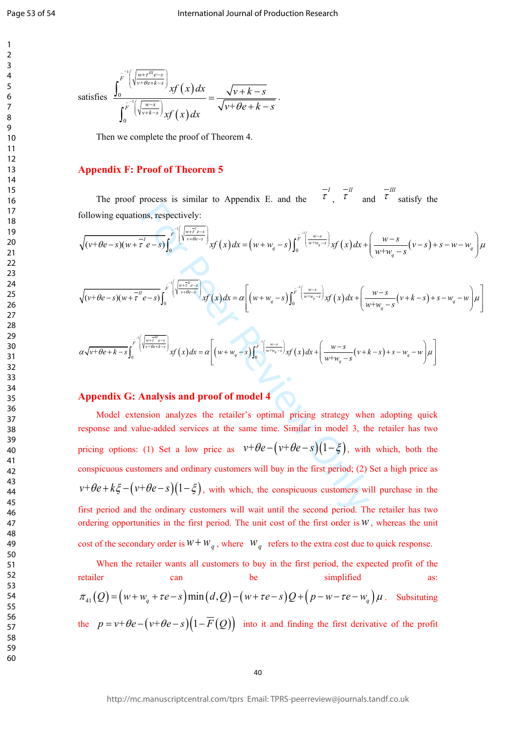Page 53 of 54

 $\mathbf{1}$  $\overline{2}$  $\overline{3}$  $\overline{4}$  $\overline{7}$  $\mathsf{Q}$ 

satisfies 
$$
\frac{\int_0^{\overline{F}^{-1}\left(\sqrt{\frac{w+\overline{r}^m e-s}{v+\theta e+k-s}}\right)}xf(x)dx}{\int_0^{\overline{F}^{-1}\left(\sqrt{\frac{w-s}{v+k-s}}\right)}xf(x)dx} = \frac{\sqrt{v+k-s}}{\sqrt{v+\theta e+k-s}}.
$$

Then we complete the proof of Theorem 4.

#### **Appendix F: Proof of Theorem 5**

The proof process is similar to Appendix E. and the  $\tau$ ,  $\tau$  and  $\tau$  satisfy the following equations, respectively:

$$
\sqrt{(v+\theta e-s)(w+\tau^2 e-s)} \int_0^{\overline{F}^{-1}\left(\sqrt{\frac{w+\tau^2 e-s}{v+\theta e-s}}\right)} xf(x) dx = (w+w_q-s) \int_0^{\overline{F}^{-1}\left(\frac{w-s}{w+w_q-s}\right)} xf(x) dx + \left(\frac{w-s}{w+w_q-s}(v-s)+s-w-w_q\right) \mu^2
$$
  

$$
\sqrt{(v+\theta e-s)(w+\tau^2 e-s)} \int_0^{\overline{F}^{-1}\left(\sqrt{\frac{w+\tau^2 e-s}{v+\theta e-s}}\right)} xf(x) dx = \alpha \left[ (w+w_q-s) \int_0^{\overline{F}^{-1}\left(\frac{w-s}{w+w_q-s}\right)} xf(x) dx + \left(\frac{w-s}{w+w_q-s}(v+k-s)+s-w_q-w\right) \mu^2 \right]
$$

$$
\alpha \sqrt{\nu+\theta e+k-s} \int_0^{\overline{F}^{-1}\left(\sqrt{\frac{w+\overline{e}^w}{v+\theta e+k-s}}\right)} x f(x) dx = \alpha \left[ \left(w+w_q-s\right) \int_0^{\overline{F}^{-1}\left(\frac{w-s}{w+w_q-s}\right)} x f(x) dx + \left(\frac{w-s}{w+w_q-s}\left(v+k-s\right)+s-w_q-w\right) \mu \right]
$$

# **Appendix G: Analysis and proof of model 4**

the period;  $\int_{\vec{r}}^{\vec{r}} e^{-s} s \int_{0}^{\vec{r}} \left[ \sqrt{\frac{w \cdot \vec{r}}{w \cdot t \cdot \theta \cdot \vec{r}}} x f(x) dx = (w + w_q - s) \int_{0}^{\vec{r}} \left( \frac{w \cdot s}{w \cdot \vec{r} \cdot \theta \cdot \vec{r}} \right) x f(x) dx +$ <br>  $\int_{\vec{r}}^{\vec{r}} e^{-s} \int_{0}^{\vec{r}} \left( \sqrt{\frac{w \cdot \vec{r}}{w \cdot \theta \cdot \vec{r}}} x f(x) dx = a \left[ (w + w_q - s) \int$ Model extension analyzes the retailer's optimal pricing strategy when adopting quick response and value-added services at the same time. Similar in model 3, the retailer has two pricing options: (1) Set a low price as  $v+\theta e-(v+\theta e-s)(1-\xi)$ , with which, both the conspicuous customers and ordinary customers will buy in the first period; (2) Set a high price as  $v+\theta e+k\xi-(v+\theta e-s)(1-\xi)$ , with which, the conspicuous customers will purchase in the first period and the ordinary customers will wait until the second period. The retailer has two ordering opportunities in the first period. The unit cost of the first order is  $W$ , whereas the unit cost of the secondary order is  $W + W_q$ , where  $W_q$  refers to the extra cost due to quick response.

When the retailer wants all customers to buy in the first period, the expected profit of the retailer can can be simplified as:  $\pi_{41}(Q) = (w+w_q + \tau e - s) \min(d, Q) - (w+\tau e - s)Q + (p-w-\tau e - w_q)\mu$ . Subsituting the  $p = v + \theta e - (v + \theta e - s)(1 - \overline{F}(Q))$  into it and finding the first derivative of the profit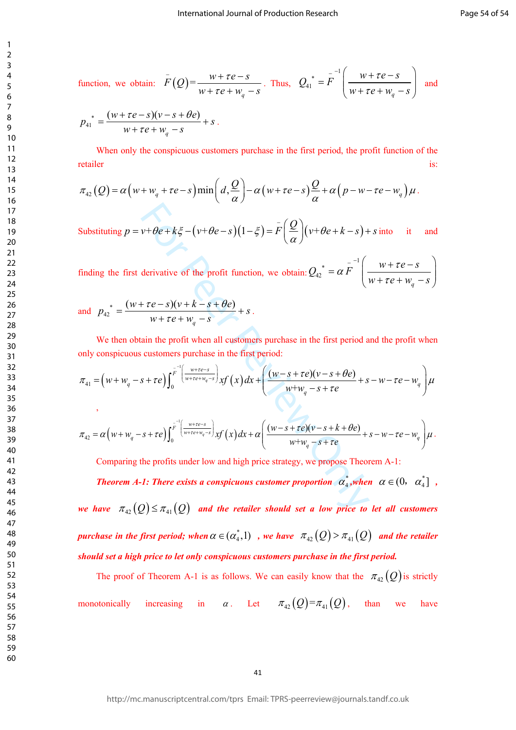function, we obtain: 
$$
\overline{F}(Q) = \frac{w + \tau e - s}{w + \tau e + w_q - s}
$$
. Thus,  $Q_{41}^* = \overline{F}^{-1} \left( \frac{w + \tau e - s}{w + \tau e + w_q - s} \right)$  and

$$
p_{41}^* = \frac{(w + \tau e - s)(v - s + \theta e)}{w + \tau e + w_q - s} + s.
$$

When only the conspicuous customers purchase in the first period, the profit function of the retailer is: **is: is: is: is: is: is: is: is: is: is: is: is: is: is: is: is: is: is: is: is: is: is: is: is: is: is: is: is: is: is: is: is: is: is: is:** 

$$
\pi_{42}(Q) = \alpha \big( w + w_q + \tau e - s \big) \min \bigg( d, \frac{Q}{\alpha} \bigg) - \alpha \big( w + \tau e - s \big) \frac{Q}{\alpha} + \alpha \big( p - w - \tau e - w_q \big) \mu \,.
$$

Substituting 
$$
p = v + \theta e + k \xi - (v + \theta e - s)(1 - \xi) = \overline{F} \left( \frac{Q}{\alpha} \right) (v + \theta e + k - s) + s
$$
 into it and

finding the first derivative of the profit function, we obtain:  $Q_{42}^* = \alpha \overline{F}^{-1} \left( \frac{w + \tau e - s}{w + \tau e + w_q - s} \right)$ 

and 
$$
p_{42}^* = \frac{(w + \tau e - s)(v + k - s + \theta e)}{w + \tau e + w_q - s} + s
$$
.

,

We then obtain the profit when all customers purchase in the first period and the profit when only conspicuous customers purchase in the first period:

$$
\pi_{41} = \left(w + w_q - s + \tau e\right) \int_0^{\overline{F}^{-1}\left(\frac{w + \tau e - s}{w + \tau e + w_q - s}\right)} x f\left(x\right) dx + \left(\frac{(w - s + \tau e)(v - s + \theta e)}{w + w_q - s + \tau e} + s - w - \tau e - w_q\right) \mu
$$

$$
\pi_{42} = \alpha \Big( w + w_q - s + \tau e \Big) \int_0^{\overline{F}^{-1} \Big( \frac{w + \tau e - s}{w + \tau e + w_q - s} \Big)} xf(x) dx + \alpha \Big( \frac{(w - s + \tau e)(v - s + k + \theta e)}{w + w_q - s + \tau e} + s - w - \tau e - w_q \Big) \mu.
$$

Comparing the profits under low and high price strategy, we propose Theorem A-1:

 $v+\theta e+k\xi-(v+\theta e-s)(1-\xi)=\overline{F}\left(\frac{Q}{\alpha}\right)(v+\theta e+k-s)+$ <br>
derivative of the profit function, we obtain:  $Q_{42}^* = \alpha \overline{F}^{-1}\left(\frac{1}{2}+\theta e+k-s\right)+\pi e+\omega_{q}-s$ <br>  $\overline{F}+re-\overline{F}$ <br>  $\overline{F}+\overline{F}e+\omega_{q}-s$ <br>
ain the profit when all customers purcha *Theorem A-1: There exists a conspicuous customer proportion*  $\alpha_4^*$ *, when*  $\alpha \in (0, \alpha_4^*]$ , *we have*  $\pi_{42}(Q) \leq \pi_{41}(Q)$  and the retailer should set a low price to let all customers *purchase in the first period; when*  $\alpha \in (\alpha_4^* , 1)$  , we have  $\pi_{42}(Q) > \pi_{41}(Q)$  and the retailer *should set a high price to let only conspicuous customers purchase in the first period.*

The proof of Theorem A-1 is as follows. We can easily know that the  $\pi_{42}(Q)$  is strictly monotonically increasing in  $\alpha$ . Let  $\pi_{4}(\mathcal{Q}) = \pi_{41}(\mathcal{Q})$ , than we have

 $\mathbf{1}$